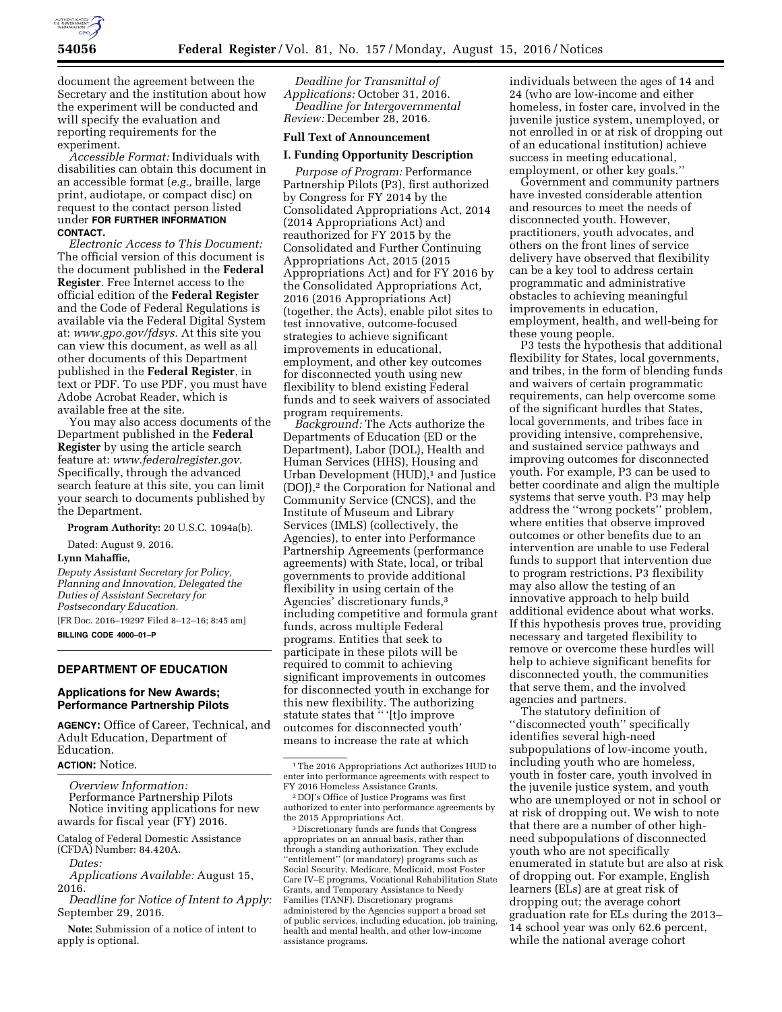

document the agreement between the Secretary and the institution about how the experiment will be conducted and will specify the evaluation and reporting requirements for the experiment.

*Accessible Format:* Individuals with disabilities can obtain this document in an accessible format (*e.g.,* braille, large print, audiotape, or compact disc) on request to the contact person listed under **FOR FURTHER INFORMATION CONTACT.** 

*Electronic Access to This Document:*  The official version of this document is the document published in the **Federal Register**. Free Internet access to the official edition of the **Federal Register**  and the Code of Federal Regulations is available via the Federal Digital System at: *[www.gpo.gov/fdsys.](http://www.gpo.gov/fdsys)* At this site you can view this document, as well as all other documents of this Department published in the **Federal Register**, in text or PDF. To use PDF, you must have Adobe Acrobat Reader, which is available free at the site.

You may also access documents of the Department published in the **Federal Register** by using the article search feature at: *[www.federalregister.gov.](http://www.federalregister.gov)*  Specifically, through the advanced search feature at this site, you can limit your search to documents published by the Department.

**Program Authority:** 20 U.S.C. 1094a(b).

Dated: August 9, 2016.

#### **Lynn Mahaffie,**

*Deputy Assistant Secretary for Policy, Planning and Innovation, Delegated the Duties of Assistant Secretary for Postsecondary Education.*  [FR Doc. 2016–19297 Filed 8–12–16; 8:45 am] **BILLING CODE 4000–01–P** 

#### **DEPARTMENT OF EDUCATION**

## **Applications for New Awards; Performance Partnership Pilots**

**AGENCY:** Office of Career, Technical, and Adult Education, Department of Education.

**ACTION:** Notice.

*Overview Information:*  Performance Partnership Pilots Notice inviting applications for new awards for fiscal year (FY) 2016.

Catalog of Federal Domestic Assistance

(CFDA) Number: 84.420A. *Dates:* 

*Applications Available:* August 15, 2016.

*Deadline for Notice of Intent to Apply:*  September 29, 2016.

**Note:** Submission of a notice of intent to apply is optional.

*Deadline for Transmittal of Applications:* October 31, 2016. *Deadline for Intergovernmental Review:* December 28, 2016.

#### **Full Text of Announcement**

#### **I. Funding Opportunity Description**

*Purpose of Program:* Performance Partnership Pilots (P3), first authorized by Congress for FY 2014 by the Consolidated Appropriations Act, 2014 (2014 Appropriations Act) and reauthorized for FY 2015 by the Consolidated and Further Continuing Appropriations Act, 2015 (2015 Appropriations Act) and for FY 2016 by the Consolidated Appropriations Act, 2016 (2016 Appropriations Act) (together, the Acts), enable pilot sites to test innovative, outcome-focused strategies to achieve significant improvements in educational, employment, and other key outcomes for disconnected youth using new flexibility to blend existing Federal funds and to seek waivers of associated program requirements.

*Background:* The Acts authorize the Departments of Education (ED or the Department), Labor (DOL), Health and Human Services (HHS), Housing and Urban Development  $(HUD)$ ,<sup>1</sup> and Justice (DOJ),2 the Corporation for National and Community Service (CNCS), and the Institute of Museum and Library Services (IMLS) (collectively, the Agencies), to enter into Performance Partnership Agreements (performance agreements) with State, local, or tribal governments to provide additional flexibility in using certain of the Agencies' discretionary funds,3 including competitive and formula grant funds, across multiple Federal programs. Entities that seek to participate in these pilots will be required to commit to achieving significant improvements in outcomes for disconnected youth in exchange for this new flexibility. The authorizing statute states that '' '[t]o improve outcomes for disconnected youth' means to increase the rate at which

individuals between the ages of 14 and 24 (who are low-income and either homeless, in foster care, involved in the juvenile justice system, unemployed, or not enrolled in or at risk of dropping out of an educational institution) achieve success in meeting educational, employment, or other key goals.''

Government and community partners have invested considerable attention and resources to meet the needs of disconnected youth. However, practitioners, youth advocates, and others on the front lines of service delivery have observed that flexibility can be a key tool to address certain programmatic and administrative obstacles to achieving meaningful improvements in education, employment, health, and well-being for these young people.

P3 tests the hypothesis that additional flexibility for States, local governments, and tribes, in the form of blending funds and waivers of certain programmatic requirements, can help overcome some of the significant hurdles that States, local governments, and tribes face in providing intensive, comprehensive, and sustained service pathways and improving outcomes for disconnected youth. For example, P3 can be used to better coordinate and align the multiple systems that serve youth. P3 may help address the ''wrong pockets'' problem, where entities that observe improved outcomes or other benefits due to an intervention are unable to use Federal funds to support that intervention due to program restrictions. P3 flexibility may also allow the testing of an innovative approach to help build additional evidence about what works. If this hypothesis proves true, providing necessary and targeted flexibility to remove or overcome these hurdles will help to achieve significant benefits for disconnected youth, the communities that serve them, and the involved agencies and partners.

The statutory definition of ''disconnected youth'' specifically identifies several high-need subpopulations of low-income youth, including youth who are homeless, youth in foster care, youth involved in the juvenile justice system, and youth who are unemployed or not in school or at risk of dropping out. We wish to note that there are a number of other highneed subpopulations of disconnected youth who are not specifically enumerated in statute but are also at risk of dropping out. For example, English learners (ELs) are at great risk of dropping out; the average cohort graduation rate for ELs during the 2013– 14 school year was only 62.6 percent, while the national average cohort

<sup>1</sup>The 2016 Appropriations Act authorizes HUD to enter into performance agreements with respect to FY 2016 Homeless Assistance Grants.

<sup>2</sup> DOJ's Office of Justice Programs was first authorized to enter into performance agreements by the 2015 Appropriations Act.

<sup>3</sup> Discretionary funds are funds that Congress appropriates on an annual basis, rather than through a standing authorization. They exclude ''entitlement'' (or mandatory) programs such as Social Security, Medicare, Medicaid, most Foster Care IV–E programs, Vocational Rehabilitation State Grants, and Temporary Assistance to Needy Families (TANF). Discretionary programs administered by the Agencies support a broad set of public services, including education, job training, health and mental health, and other low-income assistance programs.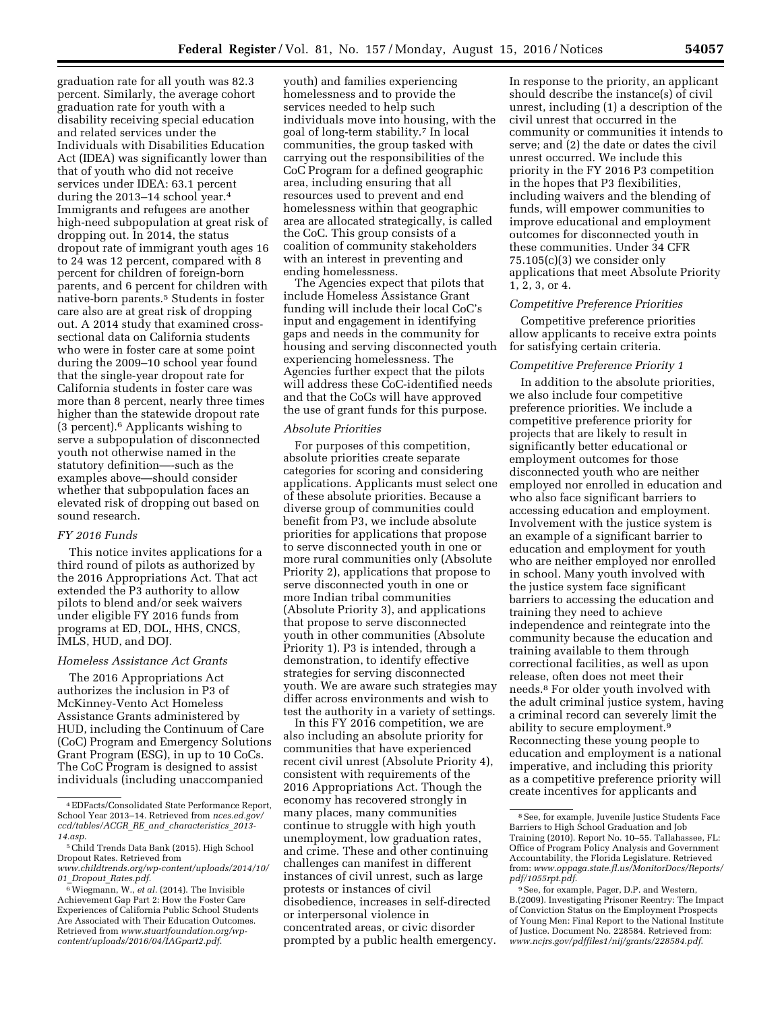graduation rate for all youth was 82.3 percent. Similarly, the average cohort graduation rate for youth with a disability receiving special education and related services under the Individuals with Disabilities Education Act (IDEA) was significantly lower than that of youth who did not receive services under IDEA: 63.1 percent during the 2013–14 school year.4 Immigrants and refugees are another high-need subpopulation at great risk of dropping out. In 2014, the status dropout rate of immigrant youth ages 16 to 24 was 12 percent, compared with 8 percent for children of foreign-born parents, and 6 percent for children with native-born parents.5 Students in foster care also are at great risk of dropping out. A 2014 study that examined crosssectional data on California students who were in foster care at some point during the 2009–10 school year found that the single-year dropout rate for California students in foster care was more than 8 percent, nearly three times higher than the statewide dropout rate (3 percent).6 Applicants wishing to serve a subpopulation of disconnected youth not otherwise named in the statutory definition—-such as the examples above—should consider whether that subpopulation faces an elevated risk of dropping out based on sound research.

#### *FY 2016 Funds*

This notice invites applications for a third round of pilots as authorized by the 2016 Appropriations Act. That act extended the P3 authority to allow pilots to blend and/or seek waivers under eligible FY 2016 funds from programs at ED, DOL, HHS, CNCS, IMLS, HUD, and DOJ.

#### *Homeless Assistance Act Grants*

The 2016 Appropriations Act authorizes the inclusion in P3 of McKinney-Vento Act Homeless Assistance Grants administered by HUD, including the Continuum of Care (CoC) Program and Emergency Solutions Grant Program (ESG), in up to 10 CoCs. The CoC Program is designed to assist individuals (including unaccompanied

youth) and families experiencing homelessness and to provide the services needed to help such individuals move into housing, with the goal of long-term stability.7 In local communities, the group tasked with carrying out the responsibilities of the CoC Program for a defined geographic area, including ensuring that all resources used to prevent and end homelessness within that geographic area are allocated strategically, is called the CoC. This group consists of a coalition of community stakeholders with an interest in preventing and ending homelessness.

The Agencies expect that pilots that include Homeless Assistance Grant funding will include their local CoC's input and engagement in identifying gaps and needs in the community for housing and serving disconnected youth experiencing homelessness. The Agencies further expect that the pilots will address these CoC-identified needs and that the CoCs will have approved the use of grant funds for this purpose.

#### *Absolute Priorities*

For purposes of this competition, absolute priorities create separate categories for scoring and considering applications. Applicants must select one of these absolute priorities. Because a diverse group of communities could benefit from P3, we include absolute priorities for applications that propose to serve disconnected youth in one or more rural communities only (Absolute Priority 2), applications that propose to serve disconnected youth in one or more Indian tribal communities (Absolute Priority 3), and applications that propose to serve disconnected youth in other communities (Absolute Priority 1). P3 is intended, through a demonstration, to identify effective strategies for serving disconnected youth. We are aware such strategies may differ across environments and wish to test the authority in a variety of settings.

In this FY 2016 competition, we are also including an absolute priority for communities that have experienced recent civil unrest (Absolute Priority 4), consistent with requirements of the 2016 Appropriations Act. Though the economy has recovered strongly in many places, many communities continue to struggle with high youth unemployment, low graduation rates, and crime. These and other continuing challenges can manifest in different instances of civil unrest, such as large protests or instances of civil disobedience, increases in self-directed or interpersonal violence in concentrated areas, or civic disorder prompted by a public health emergency.

In response to the priority, an applicant should describe the instance(s) of civil unrest, including (1) a description of the civil unrest that occurred in the community or communities it intends to serve; and (2) the date or dates the civil unrest occurred. We include this priority in the FY 2016 P3 competition in the hopes that P3 flexibilities, including waivers and the blending of funds, will empower communities to improve educational and employment outcomes for disconnected youth in these communities. Under 34 CFR 75.105(c)(3) we consider only applications that meet Absolute Priority 1, 2, 3, or 4.

#### *Competitive Preference Priorities*

Competitive preference priorities allow applicants to receive extra points for satisfying certain criteria.

#### *Competitive Preference Priority 1*

In addition to the absolute priorities, we also include four competitive preference priorities. We include a competitive preference priority for projects that are likely to result in significantly better educational or employment outcomes for those disconnected youth who are neither employed nor enrolled in education and who also face significant barriers to accessing education and employment. Involvement with the justice system is an example of a significant barrier to education and employment for youth who are neither employed nor enrolled in school. Many youth involved with the justice system face significant barriers to accessing the education and training they need to achieve independence and reintegrate into the community because the education and training available to them through correctional facilities, as well as upon release, often does not meet their needs.8 For older youth involved with the adult criminal justice system, having a criminal record can severely limit the ability to secure employment.9 Reconnecting these young people to education and employment is a national imperative, and including this priority as a competitive preference priority will create incentives for applicants and

<sup>4</sup>EDFacts/Consolidated State Performance Report, School Year 2013–14. Retrieved from *nces.ed.gov/ ccd/tables/ACGR*\_*RE*\_*and*\_*characteristics*\_*2013- 14.asp*.

<sup>5</sup>Child Trends Data Bank (2015). High School Dropout Rates. Retrieved from *[www.childtrends.org/wp-content/uploads/2014/10/](http://www.childtrends.org/wp-content/uploads/2014/10/01_Dropout_Rates.pdf)*

*<sup>01</sup>*\_*Dropout*\_*[Rates.pdf](http://www.childtrends.org/wp-content/uploads/2014/10/01_Dropout_Rates.pdf)*. <sup>6</sup> Wiegmann, W., et al. (2014). The Invisible

Achievement Gap Part 2: How the Foster Care Experiences of California Public School Students Are Associated with Their Education Outcomes. Retrieved from *[www.stuartfoundation.org/wp](http://www.stuartfoundation.org/wp-content/uploads/2016/04/IAGpart2.pdf)[content/uploads/2016/04/IAGpart2.pdf](http://www.stuartfoundation.org/wp-content/uploads/2016/04/IAGpart2.pdf)*.

<sup>8</sup>See, for example, Juvenile Justice Students Face Barriers to High School Graduation and Job Training (2010). Report No. 10–55. Tallahassee, FL: Office of Program Policy Analysis and Government Accountability, the Florida Legislature. Retrieved from: *[www.oppaga.state.fl.us/MonitorDocs/Reports/](http://www.oppaga.state.fl.us/MonitorDocs/Reports/pdf/1055rpt.pdf) [pdf/1055rpt.pdf](http://www.oppaga.state.fl.us/MonitorDocs/Reports/pdf/1055rpt.pdf)*.

<sup>9</sup>See, for example, Pager, D.P. and Western, B.(2009). Investigating Prisoner Reentry: The Impact of Conviction Status on the Employment Prospects of Young Men: Final Report to the National Institute of Justice. Document No. 228584. Retrieved from: *[www.ncjrs.gov/pdffiles1/nij/grants/228584.pdf](http://www.ncjrs.gov/pdffiles1/nij/grants/228584.pdf)*.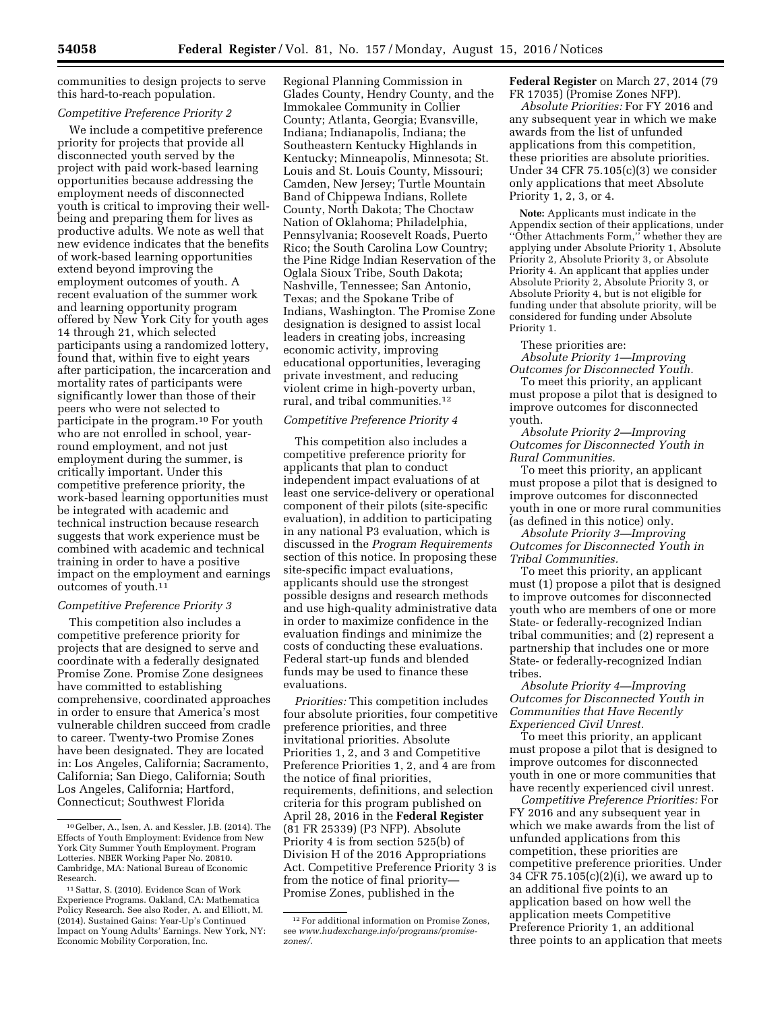communities to design projects to serve this hard-to-reach population.

## *Competitive Preference Priority 2*

We include a competitive preference priority for projects that provide all disconnected youth served by the project with paid work-based learning opportunities because addressing the employment needs of disconnected youth is critical to improving their wellbeing and preparing them for lives as productive adults. We note as well that new evidence indicates that the benefits of work-based learning opportunities extend beyond improving the employment outcomes of youth. A recent evaluation of the summer work and learning opportunity program offered by New York City for youth ages 14 through 21, which selected participants using a randomized lottery, found that, within five to eight years after participation, the incarceration and mortality rates of participants were significantly lower than those of their peers who were not selected to participate in the program.10 For youth who are not enrolled in school, yearround employment, and not just employment during the summer, is critically important. Under this competitive preference priority, the work-based learning opportunities must be integrated with academic and technical instruction because research suggests that work experience must be combined with academic and technical training in order to have a positive impact on the employment and earnings outcomes of youth.11

#### *Competitive Preference Priority 3*

This competition also includes a competitive preference priority for projects that are designed to serve and coordinate with a federally designated Promise Zone. Promise Zone designees have committed to establishing comprehensive, coordinated approaches in order to ensure that America's most vulnerable children succeed from cradle to career. Twenty-two Promise Zones have been designated. They are located in: Los Angeles, California; Sacramento, California; San Diego, California; South Los Angeles, California; Hartford, Connecticut; Southwest Florida

Regional Planning Commission in Glades County, Hendry County, and the Immokalee Community in Collier County; Atlanta, Georgia; Evansville, Indiana; Indianapolis, Indiana; the Southeastern Kentucky Highlands in Kentucky; Minneapolis, Minnesota; St. Louis and St. Louis County, Missouri; Camden, New Jersey; Turtle Mountain Band of Chippewa Indians, Rollete County, North Dakota; The Choctaw Nation of Oklahoma; Philadelphia, Pennsylvania; Roosevelt Roads, Puerto Rico; the South Carolina Low Country; the Pine Ridge Indian Reservation of the Oglala Sioux Tribe, South Dakota; Nashville, Tennessee; San Antonio, Texas; and the Spokane Tribe of Indians, Washington. The Promise Zone designation is designed to assist local leaders in creating jobs, increasing economic activity, improving educational opportunities, leveraging private investment, and reducing violent crime in high-poverty urban, rural, and tribal communities.12

#### *Competitive Preference Priority 4*

This competition also includes a competitive preference priority for applicants that plan to conduct independent impact evaluations of at least one service-delivery or operational component of their pilots (site-specific evaluation), in addition to participating in any national P3 evaluation, which is discussed in the *Program Requirements*  section of this notice. In proposing these site-specific impact evaluations, applicants should use the strongest possible designs and research methods and use high-quality administrative data in order to maximize confidence in the evaluation findings and minimize the costs of conducting these evaluations. Federal start-up funds and blended funds may be used to finance these evaluations.

*Priorities:* This competition includes four absolute priorities, four competitive preference priorities, and three invitational priorities. Absolute Priorities 1, 2, and 3 and Competitive Preference Priorities 1, 2, and 4 are from the notice of final priorities, requirements, definitions, and selection criteria for this program published on April 28, 2016 in the **Federal Register**  (81 FR 25339) (P3 NFP). Absolute Priority 4 is from section 525(b) of Division H of the 2016 Appropriations Act. Competitive Preference Priority 3 is from the notice of final priority— Promise Zones, published in the

**Federal Register** on March 27, 2014 (79 FR 17035) (Promise Zones NFP).

*Absolute Priorities:* For FY 2016 and any subsequent year in which we make awards from the list of unfunded applications from this competition, these priorities are absolute priorities. Under 34 CFR 75.105(c)(3) we consider only applications that meet Absolute Priority 1, 2, 3, or 4.

**Note:** Applicants must indicate in the Appendix section of their applications, under ''Other Attachments Form,'' whether they are applying under Absolute Priority 1, Absolute Priority 2, Absolute Priority 3, or Absolute Priority 4. An applicant that applies under Absolute Priority 2, Absolute Priority 3, or Absolute Priority 4, but is not eligible for funding under that absolute priority, will be considered for funding under Absolute Priority 1.

These priorities are:

*Absolute Priority 1—Improving Outcomes for Disconnected Youth.* 

To meet this priority, an applicant must propose a pilot that is designed to improve outcomes for disconnected youth.

*Absolute Priority 2—Improving Outcomes for Disconnected Youth in Rural Communities.* 

To meet this priority, an applicant must propose a pilot that is designed to improve outcomes for disconnected youth in one or more rural communities (as defined in this notice) only.

*Absolute Priority 3—Improving Outcomes for Disconnected Youth in Tribal Communities.* 

To meet this priority, an applicant must (1) propose a pilot that is designed to improve outcomes for disconnected youth who are members of one or more State- or federally-recognized Indian tribal communities; and (2) represent a partnership that includes one or more State- or federally-recognized Indian tribes.

*Absolute Priority 4—Improving Outcomes for Disconnected Youth in Communities that Have Recently Experienced Civil Unrest.* 

To meet this priority, an applicant must propose a pilot that is designed to improve outcomes for disconnected youth in one or more communities that have recently experienced civil unrest.

*Competitive Preference Priorities:* For FY 2016 and any subsequent year in which we make awards from the list of unfunded applications from this competition, these priorities are competitive preference priorities. Under 34 CFR 75.105(c)(2)(i), we award up to an additional five points to an application based on how well the application meets Competitive Preference Priority 1, an additional three points to an application that meets

<sup>10</sup> Gelber, A., Isen, A. and Kessler, J.B. (2014). The Effects of Youth Employment: Evidence from New York City Summer Youth Employment. Program Lotteries. NBER Working Paper No. 20810. Cambridge, MA: National Bureau of Economic Research.

<sup>11</sup>Sattar, S. (2010). Evidence Scan of Work Experience Programs. Oakland, CA: Mathematica Policy Research. See also Roder, A. and Elliott, M. (2014). Sustained Gains: Year-Up's Continued Impact on Young Adults' Earnings. New York, NY: Economic Mobility Corporation, Inc.

<sup>12</sup>For additional information on Promise Zones, see *www.hudexchange.info/programs/promisezones/*.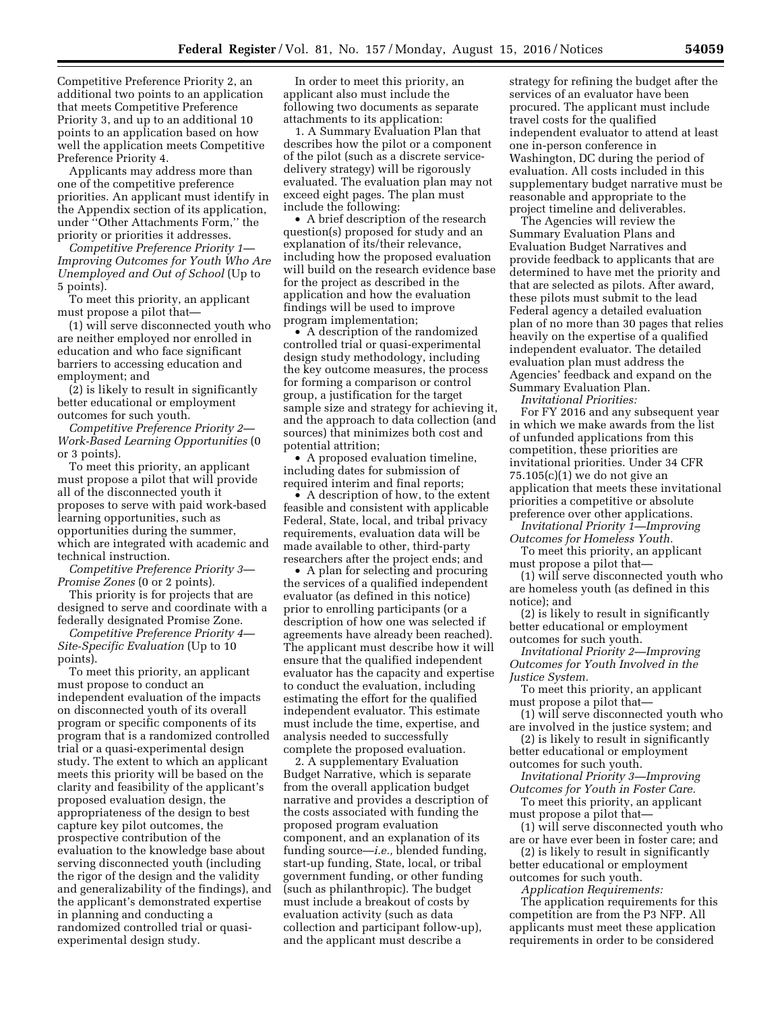Competitive Preference Priority 2, an additional two points to an application that meets Competitive Preference Priority 3, and up to an additional 10 points to an application based on how well the application meets Competitive Preference Priority 4.

Applicants may address more than one of the competitive preference priorities. An applicant must identify in the Appendix section of its application, under ''Other Attachments Form,'' the priority or priorities it addresses.

*Competitive Preference Priority 1— Improving Outcomes for Youth Who Are Unemployed and Out of School* (Up to 5 points).

To meet this priority, an applicant must propose a pilot that—

(1) will serve disconnected youth who are neither employed nor enrolled in education and who face significant barriers to accessing education and employment; and

(2) is likely to result in significantly better educational or employment outcomes for such youth.

*Competitive Preference Priority 2— Work-Based Learning Opportunities* (0 or 3 points).

To meet this priority, an applicant must propose a pilot that will provide all of the disconnected youth it proposes to serve with paid work-based learning opportunities, such as opportunities during the summer, which are integrated with academic and technical instruction.

*Competitive Preference Priority 3— Promise Zones* (0 or 2 points).

This priority is for projects that are designed to serve and coordinate with a federally designated Promise Zone.

*Competitive Preference Priority 4— Site-Specific Evaluation* (Up to 10 points).

To meet this priority, an applicant must propose to conduct an independent evaluation of the impacts on disconnected youth of its overall program or specific components of its program that is a randomized controlled trial or a quasi-experimental design study. The extent to which an applicant meets this priority will be based on the clarity and feasibility of the applicant's proposed evaluation design, the appropriateness of the design to best capture key pilot outcomes, the prospective contribution of the evaluation to the knowledge base about serving disconnected youth (including the rigor of the design and the validity and generalizability of the findings), and the applicant's demonstrated expertise in planning and conducting a randomized controlled trial or quasiexperimental design study.

In order to meet this priority, an applicant also must include the following two documents as separate attachments to its application:

1. A Summary Evaluation Plan that describes how the pilot or a component of the pilot (such as a discrete servicedelivery strategy) will be rigorously evaluated. The evaluation plan may not exceed eight pages. The plan must include the following:

• A brief description of the research question(s) proposed for study and an explanation of its/their relevance, including how the proposed evaluation will build on the research evidence base for the project as described in the application and how the evaluation findings will be used to improve program implementation;

• A description of the randomized controlled trial or quasi-experimental design study methodology, including the key outcome measures, the process for forming a comparison or control group, a justification for the target sample size and strategy for achieving it, and the approach to data collection (and sources) that minimizes both cost and potential attrition;

• A proposed evaluation timeline, including dates for submission of required interim and final reports;

• A description of how, to the extent feasible and consistent with applicable Federal, State, local, and tribal privacy requirements, evaluation data will be made available to other, third-party researchers after the project ends; and

• A plan for selecting and procuring the services of a qualified independent evaluator (as defined in this notice) prior to enrolling participants (or a description of how one was selected if agreements have already been reached). The applicant must describe how it will ensure that the qualified independent evaluator has the capacity and expertise to conduct the evaluation, including estimating the effort for the qualified independent evaluator. This estimate must include the time, expertise, and analysis needed to successfully complete the proposed evaluation.

2. A supplementary Evaluation Budget Narrative, which is separate from the overall application budget narrative and provides a description of the costs associated with funding the proposed program evaluation component, and an explanation of its funding source—*i.e.,* blended funding, start-up funding, State, local, or tribal government funding, or other funding (such as philanthropic). The budget must include a breakout of costs by evaluation activity (such as data collection and participant follow-up), and the applicant must describe a

strategy for refining the budget after the services of an evaluator have been procured. The applicant must include travel costs for the qualified independent evaluator to attend at least one in-person conference in Washington, DC during the period of evaluation. All costs included in this supplementary budget narrative must be reasonable and appropriate to the project timeline and deliverables.

The Agencies will review the Summary Evaluation Plans and Evaluation Budget Narratives and provide feedback to applicants that are determined to have met the priority and that are selected as pilots. After award, these pilots must submit to the lead Federal agency a detailed evaluation plan of no more than 30 pages that relies heavily on the expertise of a qualified independent evaluator. The detailed evaluation plan must address the Agencies' feedback and expand on the Summary Evaluation Plan.

*Invitational Priorities:* 

For FY 2016 and any subsequent year in which we make awards from the list of unfunded applications from this competition, these priorities are invitational priorities. Under 34 CFR  $75.105(c)(1)$  we do not give an application that meets these invitational priorities a competitive or absolute preference over other applications.

*Invitational Priority 1—Improving Outcomes for Homeless Youth.* 

To meet this priority, an applicant must propose a pilot that—

(1) will serve disconnected youth who are homeless youth (as defined in this notice); and

(2) is likely to result in significantly better educational or employment outcomes for such youth.

*Invitational Priority 2—Improving Outcomes for Youth Involved in the Justice System.* 

To meet this priority, an applicant must propose a pilot that—

(1) will serve disconnected youth who are involved in the justice system; and

(2) is likely to result in significantly better educational or employment outcomes for such youth.

*Invitational Priority 3—Improving Outcomes for Youth in Foster Care.* 

To meet this priority, an applicant must propose a pilot that—

(1) will serve disconnected youth who are or have ever been in foster care; and

(2) is likely to result in significantly better educational or employment outcomes for such youth.

*Application Requirements:* 

The application requirements for this competition are from the P3 NFP. All applicants must meet these application requirements in order to be considered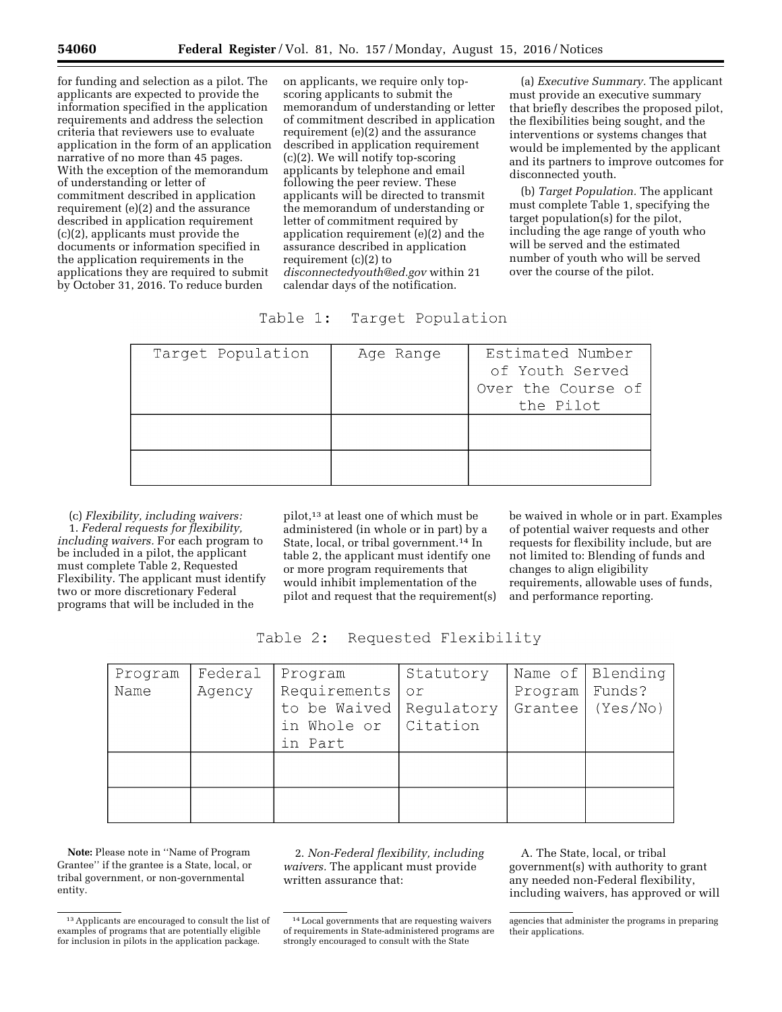for funding and selection as a pilot. The applicants are expected to provide the information specified in the application requirements and address the selection criteria that reviewers use to evaluate application in the form of an application narrative of no more than 45 pages. With the exception of the memorandum of understanding or letter of commitment described in application requirement (e)(2) and the assurance described in application requirement (c)(2), applicants must provide the documents or information specified in the application requirements in the applications they are required to submit by October 31, 2016. To reduce burden

on applicants, we require only topscoring applicants to submit the memorandum of understanding or letter of commitment described in application requirement (e)(2) and the assurance described in application requirement (c)(2). We will notify top-scoring applicants by telephone and email following the peer review. These applicants will be directed to transmit the memorandum of understanding or letter of commitment required by application requirement (e)(2) and the assurance described in application requirement (c)(2) to *[disconnectedyouth@ed.gov](mailto:disconnectedyouth@ed.gov)* within 21 calendar days of the notification.

(a) *Executive Summary.* The applicant must provide an executive summary that briefly describes the proposed pilot, the flexibilities being sought, and the interventions or systems changes that would be implemented by the applicant and its partners to improve outcomes for disconnected youth.

(b) *Target Population.* The applicant must complete Table 1, specifying the target population(s) for the pilot, including the age range of youth who will be served and the estimated number of youth who will be served over the course of the pilot.

#### Table 1: Target Population

| Target Population | Age Range | Estimated Number<br>of Youth Served<br>Over the Course of<br>the Pilot |
|-------------------|-----------|------------------------------------------------------------------------|
|                   |           |                                                                        |

(c) *Flexibility, including waivers:*  1. *Federal requests for flexibility, including waivers.* For each program to be included in a pilot, the applicant must complete Table 2, Requested Flexibility. The applicant must identify two or more discretionary Federal programs that will be included in the

pilot,13 at least one of which must be administered (in whole or in part) by a State, local, or tribal government.14 In table 2, the applicant must identify one or more program requirements that would inhibit implementation of the pilot and request that the requirement(s) be waived in whole or in part. Examples of potential waiver requests and other requests for flexibility include, but are not limited to: Blending of funds and changes to align eligibility requirements, allowable uses of funds, and performance reporting.

Table 2: Requested Flexibility

| Program | Federal | Program      | Statutory  |         | Name of   Blending |
|---------|---------|--------------|------------|---------|--------------------|
| Name    | Agency  | Requirements | $\circ$ r  | Program | Funds?             |
|         |         | to be Waived | Regulatory | Grantee | (Yes/No)           |
|         |         | in Whole or  | Citation   |         |                    |
|         |         | in Part      |            |         |                    |
|         |         |              |            |         |                    |
|         |         |              |            |         |                    |
|         |         |              |            |         |                    |
|         |         |              |            |         |                    |

**Note:** Please note in ''Name of Program Grantee'' if the grantee is a State, local, or tribal government, or non-governmental entity.

13Applicants are encouraged to consult the list of examples of programs that are potentially eligible for inclusion in pilots in the application package.

2. *Non-Federal flexibility, including waivers.* The applicant must provide written assurance that:

A. The State, local, or tribal government(s) with authority to grant any needed non-Federal flexibility, including waivers, has approved or will

<sup>14</sup>Local governments that are requesting waivers of requirements in State-administered programs are strongly encouraged to consult with the State

agencies that administer the programs in preparing their applications.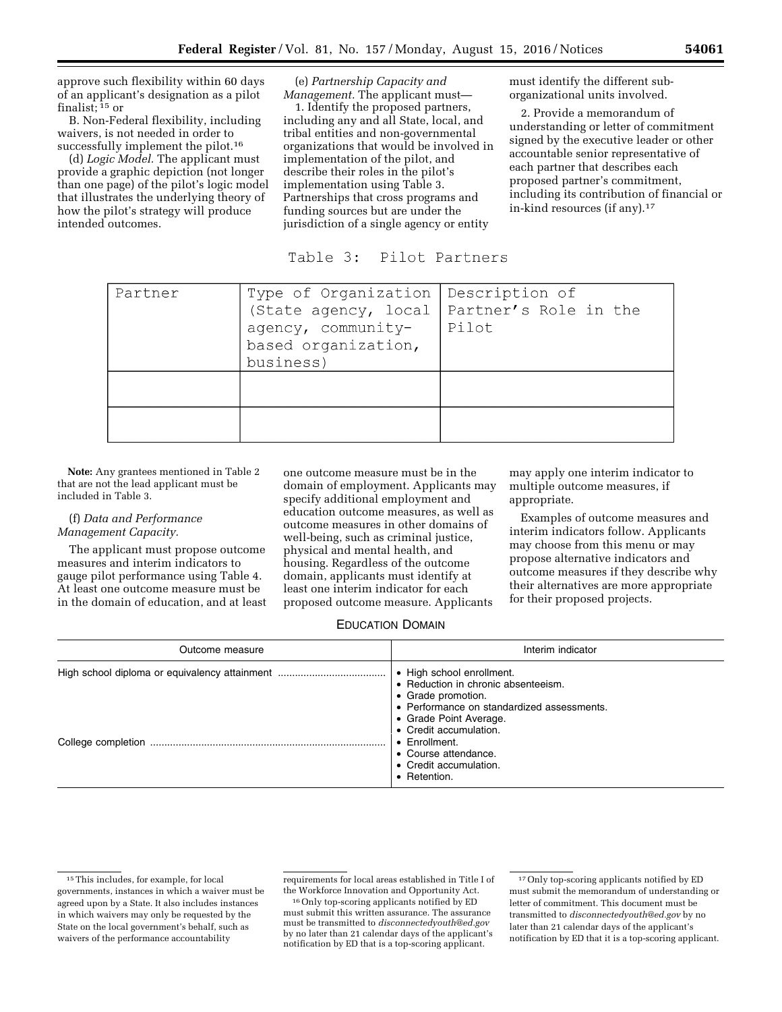approve such flexibility within 60 days of an applicant's designation as a pilot finalist; 15 or

B. Non-Federal flexibility, including waivers, is not needed in order to successfully implement the pilot.16

(d) *Logic Model.* The applicant must provide a graphic depiction (not longer than one page) of the pilot's logic model that illustrates the underlying theory of how the pilot's strategy will produce intended outcomes.

(e) *Partnership Capacity and Management.* The applicant must—

1. Identify the proposed partners, including any and all State, local, and tribal entities and non-governmental organizations that would be involved in implementation of the pilot, and describe their roles in the pilot's implementation using Table 3. Partnerships that cross programs and funding sources but are under the jurisdiction of a single agency or entity

must identify the different suborganizational units involved.

2. Provide a memorandum of understanding or letter of commitment signed by the executive leader or other accountable senior representative of each partner that describes each proposed partner's commitment, including its contribution of financial or in-kind resources (if any).17

Table 3: Pilot Partners

| Partner | Type of Organization  <br>$(State\text{ agency},\text{local})$<br>agency, community-<br>based organization,<br>business) | Description of<br>Partner's Role in the<br>Pilot |
|---------|--------------------------------------------------------------------------------------------------------------------------|--------------------------------------------------|
|         |                                                                                                                          |                                                  |
|         |                                                                                                                          |                                                  |

**Note:** Any grantees mentioned in Table 2 that are not the lead applicant must be included in Table 3.

## (f) *Data and Performance Management Capacity.*

The applicant must propose outcome measures and interim indicators to gauge pilot performance using Table 4. At least one outcome measure must be in the domain of education, and at least one outcome measure must be in the domain of employment. Applicants may specify additional employment and education outcome measures, as well as outcome measures in other domains of well-being, such as criminal justice, physical and mental health, and housing. Regardless of the outcome domain, applicants must identify at least one interim indicator for each proposed outcome measure. Applicants

may apply one interim indicator to multiple outcome measures, if appropriate.

Examples of outcome measures and interim indicators follow. Applicants may choose from this menu or may propose alternative indicators and outcome measures if they describe why their alternatives are more appropriate for their proposed projects.

# EDUCATION DOMAIN

| Outcome measure | Interim indicator                                                                                                                                                                                                                                                         |
|-----------------|---------------------------------------------------------------------------------------------------------------------------------------------------------------------------------------------------------------------------------------------------------------------------|
|                 | • High school enrollment.<br>• Reduction in chronic absenteeism.<br>• Grade promotion.<br>• Performance on standardized assessments.<br>• Grade Point Average.<br>• Credit accumulation.<br>• Enrollment.<br>• Course attendance.<br>• Credit accumulation.<br>Retention. |

requirements for local areas established in Title I of the Workforce Innovation and Opportunity Act.

16Only top-scoring applicants notified by ED must submit this written assurance. The assurance must be transmitted to *[disconnectedyouth@ed.gov](mailto:disconnectedyouth@ed.gov)*  by no later than 21 calendar days of the applicant's notification by ED that is a top-scoring applicant.

<sup>15</sup>This includes, for example, for local governments, instances in which a waiver must be agreed upon by a State. It also includes instances in which waivers may only be requested by the State on the local government's behalf, such as waivers of the performance accountability

<sup>17</sup>Only top-scoring applicants notified by ED must submit the memorandum of understanding or letter of commitment. This document must be transmitted to *[disconnectedyouth@ed.gov](mailto:disconnectedyouth@ed.gov)* by no later than 21 calendar days of the applicant's notification by ED that it is a top-scoring applicant.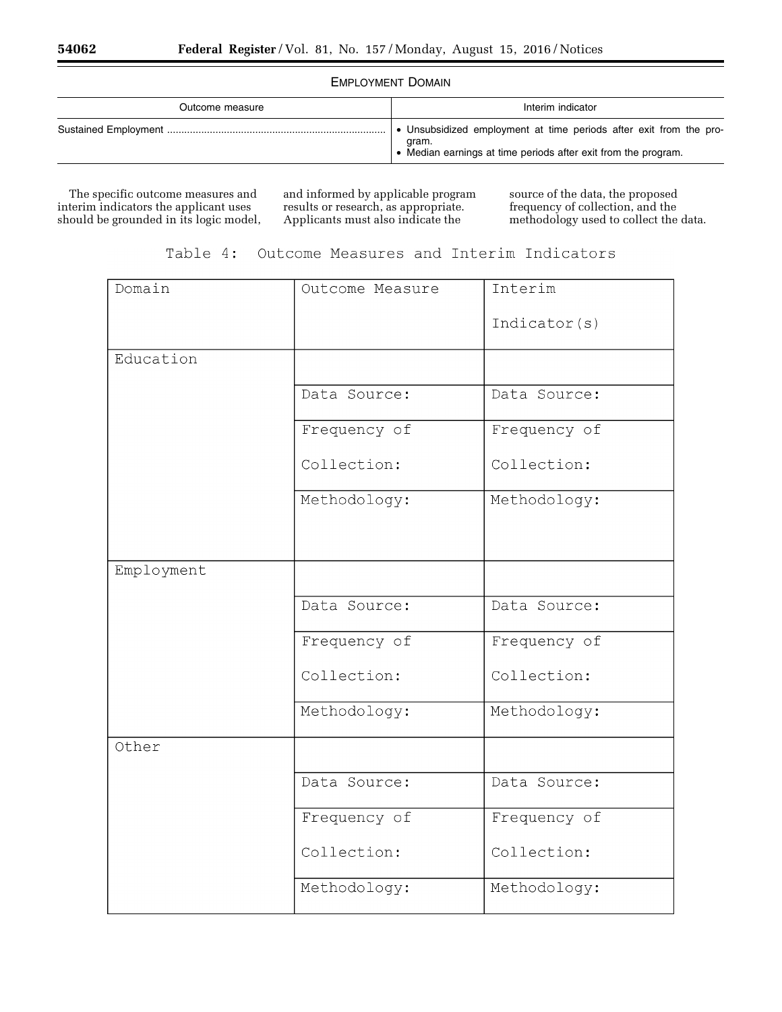# EMPLOYMENT DOMAIN

| Outcome measure | Interim indicator                                                                                                                             |  |  |
|-----------------|-----------------------------------------------------------------------------------------------------------------------------------------------|--|--|
|                 | • Unsubsidized employment at time periods after exit from the pro-<br>gram.<br>• Median earnings at time periods after exit from the program. |  |  |

The specific outcome measures and interim indicators the applicant uses should be grounded in its logic model,

and informed by applicable program results or research, as appropriate. Applicants must also indicate the

source of the data, the proposed frequency of collection, and the methodology used to collect the data.

Table 4: Outcome Measures and Interim Indicators

| Domain     | Outcome Measure | Interim       |
|------------|-----------------|---------------|
|            |                 | Indication(s) |
| Education  |                 |               |
|            | Data Source:    | Data Source:  |
|            | Frequency of    | Frequency of  |
|            | Collection:     | Collection:   |
|            | Methodology:    | Methodology:  |
|            |                 |               |
| Employment |                 |               |
|            | Data Source:    | Data Source:  |
|            | Frequency of    | Frequency of  |
|            | Collection:     | Collection:   |
|            | Methodology:    | Methodology:  |
| Other      |                 |               |
|            | Data Source:    | Data Source:  |
|            | Frequency of    | Frequency of  |
|            | Collection:     | Collection:   |
|            | Methodology:    | Methodology:  |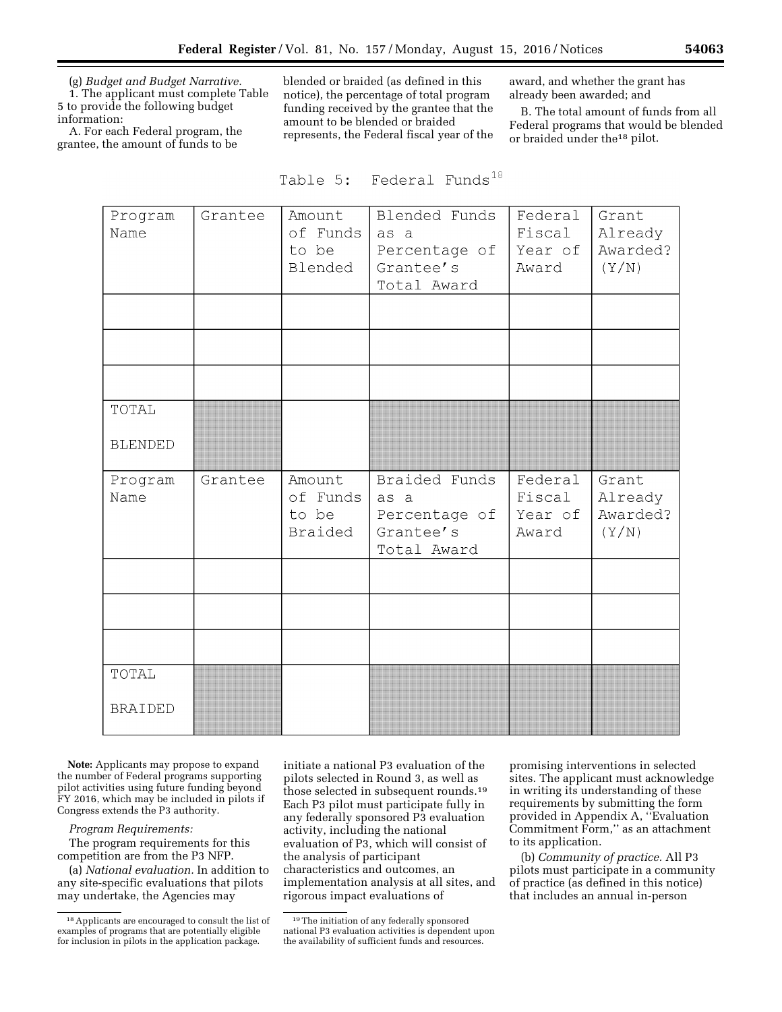(g) *Budget and Budget Narrative.*  1. The applicant must complete Table 5 to provide the following budget information:

A. For each Federal program, the grantee, the amount of funds to be

blended or braided (as defined in this notice), the percentage of total program funding received by the grantee that the amount to be blended or braided represents, the Federal fiscal year of the

award, and whether the grant has already been awarded; and

B. The total amount of funds from all Federal programs that would be blended or braided under the18 pilot.

Federal Funds<sup>18</sup> Table 5:

| Program<br>Name | Grantee | Amount<br>of Funds<br>to be<br>Blended | Blended Funds<br>as a<br>Percentage of<br>Grantee's<br>Total Award | Federal<br>Fiscal<br>Year of<br>Award | Grant<br>Already<br>Awarded?<br>(Y/N) |
|-----------------|---------|----------------------------------------|--------------------------------------------------------------------|---------------------------------------|---------------------------------------|
|                 |         |                                        |                                                                    |                                       |                                       |
| TOTAL           |         |                                        |                                                                    |                                       |                                       |
| <b>BLENDED</b>  |         |                                        |                                                                    |                                       |                                       |
| Program<br>Name | Grantee | Amount<br>of Funds<br>to be<br>Braided | Braided Funds<br>as a<br>Percentage of<br>Grantee's<br>Total Award | Federal<br>Fiscal<br>Year of<br>Award | Grant<br>Already<br>Awarded?<br>(Y/N) |
|                 |         |                                        |                                                                    |                                       |                                       |
|                 |         |                                        |                                                                    |                                       |                                       |
|                 |         |                                        |                                                                    |                                       |                                       |
| TOTAL           |         |                                        |                                                                    |                                       |                                       |
| <b>BRAIDED</b>  |         |                                        |                                                                    |                                       |                                       |

**Note:** Applicants may propose to expand the number of Federal programs supporting pilot activities using future funding beyond FY 2016, which may be included in pilots if Congress extends the P3 authority.

## *Program Requirements:*

The program requirements for this competition are from the P3 NFP.

(a) *National evaluation.* In addition to any site-specific evaluations that pilots may undertake, the Agencies may

initiate a national P3 evaluation of the pilots selected in Round 3, as well as those selected in subsequent rounds.19 Each P3 pilot must participate fully in any federally sponsored P3 evaluation activity, including the national evaluation of P3, which will consist of the analysis of participant characteristics and outcomes, an implementation analysis at all sites, and rigorous impact evaluations of

promising interventions in selected sites. The applicant must acknowledge in writing its understanding of these requirements by submitting the form provided in Appendix A, ''Evaluation Commitment Form,'' as an attachment to its application.

(b) *Community of practice.* All P3 pilots must participate in a community of practice (as defined in this notice) that includes an annual in-person

<sup>18</sup>Applicants are encouraged to consult the list of examples of programs that are potentially eligible for inclusion in pilots in the application package.

<sup>19</sup>The initiation of any federally sponsored national P3 evaluation activities is dependent upon the availability of sufficient funds and resources.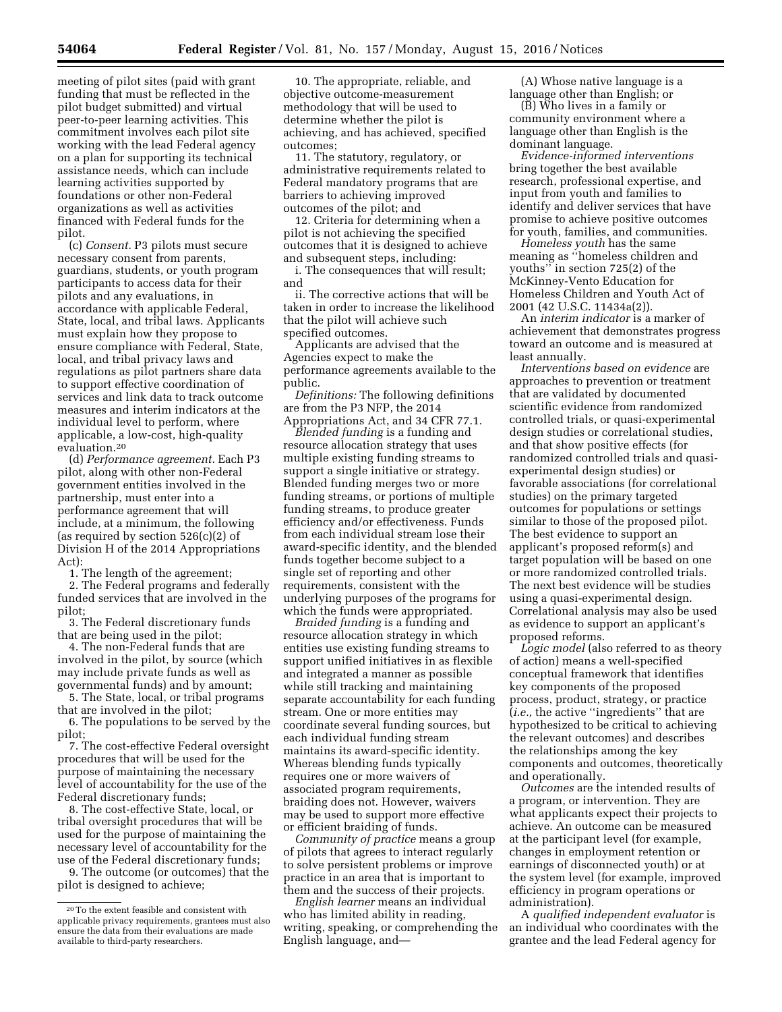meeting of pilot sites (paid with grant funding that must be reflected in the pilot budget submitted) and virtual peer-to-peer learning activities. This commitment involves each pilot site working with the lead Federal agency on a plan for supporting its technical assistance needs, which can include learning activities supported by foundations or other non-Federal organizations as well as activities financed with Federal funds for the pilot.

(c) *Consent.* P3 pilots must secure necessary consent from parents, guardians, students, or youth program participants to access data for their pilots and any evaluations, in accordance with applicable Federal, State, local, and tribal laws. Applicants must explain how they propose to ensure compliance with Federal, State, local, and tribal privacy laws and regulations as pilot partners share data to support effective coordination of services and link data to track outcome measures and interim indicators at the individual level to perform, where applicable, a low-cost, high-quality evaluation.20

(d) *Performance agreement.* Each P3 pilot, along with other non-Federal government entities involved in the partnership, must enter into a performance agreement that will include, at a minimum, the following (as required by section 526(c)(2) of Division H of the 2014 Appropriations Act):

1. The length of the agreement;

2. The Federal programs and federally funded services that are involved in the pilot;

3. The Federal discretionary funds that are being used in the pilot;

4. The non-Federal funds that are involved in the pilot, by source (which may include private funds as well as governmental funds) and by amount;

5. The State, local, or tribal programs that are involved in the pilot;

6. The populations to be served by the pilot;

7. The cost-effective Federal oversight procedures that will be used for the purpose of maintaining the necessary level of accountability for the use of the Federal discretionary funds;

8. The cost-effective State, local, or tribal oversight procedures that will be used for the purpose of maintaining the necessary level of accountability for the use of the Federal discretionary funds;

9. The outcome (or outcomes) that the pilot is designed to achieve;

10. The appropriate, reliable, and objective outcome-measurement methodology that will be used to determine whether the pilot is achieving, and has achieved, specified outcomes;

11. The statutory, regulatory, or administrative requirements related to Federal mandatory programs that are barriers to achieving improved outcomes of the pilot; and

12. Criteria for determining when a pilot is not achieving the specified outcomes that it is designed to achieve and subsequent steps, including:

i. The consequences that will result; and

ii. The corrective actions that will be taken in order to increase the likelihood that the pilot will achieve such specified outcomes.

Applicants are advised that the Agencies expect to make the performance agreements available to the public.

*Definitions:* The following definitions are from the P3 NFP, the 2014 Appropriations Act, and 34 CFR 77.1.

*Blended funding* is a funding and resource allocation strategy that uses multiple existing funding streams to support a single initiative or strategy. Blended funding merges two or more funding streams, or portions of multiple funding streams, to produce greater efficiency and/or effectiveness. Funds from each individual stream lose their award-specific identity, and the blended funds together become subject to a single set of reporting and other requirements, consistent with the underlying purposes of the programs for which the funds were appropriated.

*Braided funding* is a funding and resource allocation strategy in which entities use existing funding streams to support unified initiatives in as flexible and integrated a manner as possible while still tracking and maintaining separate accountability for each funding stream. One or more entities may coordinate several funding sources, but each individual funding stream maintains its award-specific identity. Whereas blending funds typically requires one or more waivers of associated program requirements, braiding does not. However, waivers may be used to support more effective or efficient braiding of funds.

*Community of practice* means a group of pilots that agrees to interact regularly to solve persistent problems or improve practice in an area that is important to them and the success of their projects.

*English learner* means an individual who has limited ability in reading, writing, speaking, or comprehending the English language, and—

(A) Whose native language is a language other than English; or

(B) Who lives in a family or community environment where a language other than English is the dominant language.

*Evidence-informed interventions*  bring together the best available research, professional expertise, and input from youth and families to identify and deliver services that have promise to achieve positive outcomes for youth, families, and communities.

*Homeless youth* has the same meaning as ''homeless children and youths'' in section 725(2) of the McKinney-Vento Education for Homeless Children and Youth Act of 2001 (42 U.S.C. 11434a(2)).

An *interim indicator* is a marker of achievement that demonstrates progress toward an outcome and is measured at least annually.

*Interventions based on evidence* are approaches to prevention or treatment that are validated by documented scientific evidence from randomized controlled trials, or quasi-experimental design studies or correlational studies, and that show positive effects (for randomized controlled trials and quasiexperimental design studies) or favorable associations (for correlational studies) on the primary targeted outcomes for populations or settings similar to those of the proposed pilot. The best evidence to support an applicant's proposed reform(s) and target population will be based on one or more randomized controlled trials. The next best evidence will be studies using a quasi-experimental design. Correlational analysis may also be used as evidence to support an applicant's proposed reforms.

*Logic model* (also referred to as theory of action) means a well-specified conceptual framework that identifies key components of the proposed process, product, strategy, or practice (*i.e.,* the active ''ingredients'' that are hypothesized to be critical to achieving the relevant outcomes) and describes the relationships among the key components and outcomes, theoretically and operationally.

*Outcomes* are the intended results of a program, or intervention. They are what applicants expect their projects to achieve. An outcome can be measured at the participant level (for example, changes in employment retention or earnings of disconnected youth) or at the system level (for example, improved efficiency in program operations or administration).

A *qualified independent evaluator* is an individual who coordinates with the grantee and the lead Federal agency for

<sup>20</sup>To the extent feasible and consistent with applicable privacy requirements, grantees must also ensure the data from their evaluations are made available to third-party researchers.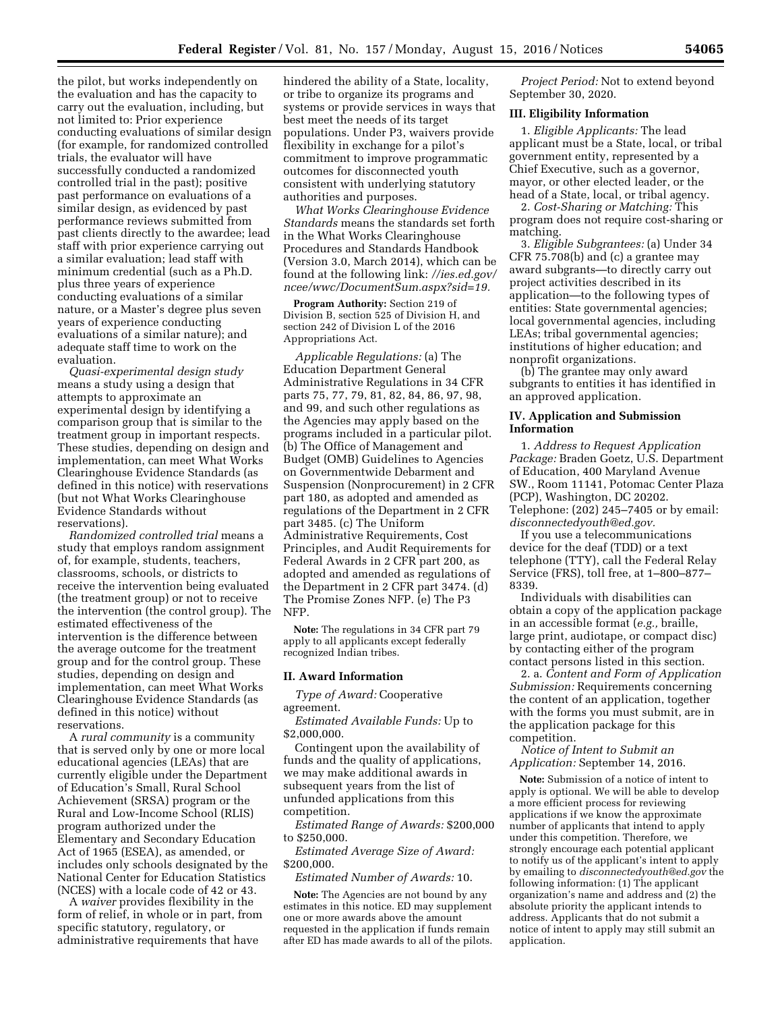the pilot, but works independently on the evaluation and has the capacity to carry out the evaluation, including, but not limited to: Prior experience conducting evaluations of similar design (for example, for randomized controlled trials, the evaluator will have successfully conducted a randomized controlled trial in the past); positive past performance on evaluations of a similar design, as evidenced by past performance reviews submitted from past clients directly to the awardee; lead staff with prior experience carrying out a similar evaluation; lead staff with minimum credential (such as a Ph.D. plus three years of experience conducting evaluations of a similar nature, or a Master's degree plus seven years of experience conducting evaluations of a similar nature); and adequate staff time to work on the evaluation.

*Quasi-experimental design study*  means a study using a design that attempts to approximate an experimental design by identifying a comparison group that is similar to the treatment group in important respects. These studies, depending on design and implementation, can meet What Works Clearinghouse Evidence Standards (as defined in this notice) with reservations (but not What Works Clearinghouse Evidence Standards without reservations).

*Randomized controlled trial* means a study that employs random assignment of, for example, students, teachers, classrooms, schools, or districts to receive the intervention being evaluated (the treatment group) or not to receive the intervention (the control group). The estimated effectiveness of the intervention is the difference between the average outcome for the treatment group and for the control group. These studies, depending on design and implementation, can meet What Works Clearinghouse Evidence Standards (as defined in this notice) without reservations.

A *rural community* is a community that is served only by one or more local educational agencies (LEAs) that are currently eligible under the Department of Education's Small, Rural School Achievement (SRSA) program or the Rural and Low-Income School (RLIS) program authorized under the Elementary and Secondary Education Act of 1965 (ESEA), as amended, or includes only schools designated by the National Center for Education Statistics (NCES) with a locale code of 42 or 43.

A *waiver* provides flexibility in the form of relief, in whole or in part, from specific statutory, regulatory, or administrative requirements that have

hindered the ability of a State, locality, or tribe to organize its programs and systems or provide services in ways that best meet the needs of its target populations. Under P3, waivers provide flexibility in exchange for a pilot's commitment to improve programmatic outcomes for disconnected youth consistent with underlying statutory authorities and purposes.

*What Works Clearinghouse Evidence Standards* means the standards set forth in the What Works Clearinghouse Procedures and Standards Handbook (Version 3.0, March 2014), which can be found at the following link: *//ies.ed.gov/ ncee/wwc/DocumentSum.aspx?sid=19.* 

**Program Authority:** Section 219 of Division B, section 525 of Division H, and section 242 of Division L of the 2016 Appropriations Act.

*Applicable Regulations:* (a) The Education Department General Administrative Regulations in 34 CFR parts 75, 77, 79, 81, 82, 84, 86, 97, 98, and 99, and such other regulations as the Agencies may apply based on the programs included in a particular pilot. (b) The Office of Management and Budget (OMB) Guidelines to Agencies on Governmentwide Debarment and Suspension (Nonprocurement) in 2 CFR part 180, as adopted and amended as regulations of the Department in 2 CFR part 3485. (c) The Uniform Administrative Requirements, Cost Principles, and Audit Requirements for Federal Awards in 2 CFR part 200, as adopted and amended as regulations of the Department in 2 CFR part 3474. (d) The Promise Zones NFP. (e) The P3 NFP.

**Note:** The regulations in 34 CFR part 79 apply to all applicants except federally recognized Indian tribes.

#### **II. Award Information**

*Type of Award:* Cooperative agreement.

*Estimated Available Funds:* Up to \$2,000,000.

Contingent upon the availability of funds and the quality of applications, we may make additional awards in subsequent years from the list of unfunded applications from this competition.

*Estimated Range of Awards:* \$200,000 to \$250,000.

*Estimated Average Size of Award:*  \$200,000.

*Estimated Number of Awards:* 10.

**Note:** The Agencies are not bound by any estimates in this notice. ED may supplement one or more awards above the amount requested in the application if funds remain after ED has made awards to all of the pilots.

*Project Period:* Not to extend beyond September 30, 2020.

#### **III. Eligibility Information**

1. *Eligible Applicants:* The lead applicant must be a State, local, or tribal government entity, represented by a Chief Executive, such as a governor, mayor, or other elected leader, or the head of a State, local, or tribal agency.

2. *Cost-Sharing or Matching:* This program does not require cost-sharing or matching.

3. *Eligible Subgrantees:* (a) Under 34 CFR 75.708(b) and (c) a grantee may award subgrants—to directly carry out project activities described in its application—to the following types of entities: State governmental agencies; local governmental agencies, including LEAs; tribal governmental agencies; institutions of higher education; and nonprofit organizations.

(b) The grantee may only award subgrants to entities it has identified in an approved application.

## **IV. Application and Submission Information**

1. *Address to Request Application Package:* Braden Goetz, U.S. Department of Education, 400 Maryland Avenue SW., Room 11141, Potomac Center Plaza (PCP), Washington, DC 20202. Telephone: (202) 245–7405 or by email: *[disconnectedyouth@ed.gov.](mailto:disconnectedyouth@ed.gov)* 

If you use a telecommunications device for the deaf (TDD) or a text telephone (TTY), call the Federal Relay Service (FRS), toll free, at 1–800–877– 8339.

Individuals with disabilities can obtain a copy of the application package in an accessible format (*e.g.,* braille, large print, audiotape, or compact disc) by contacting either of the program contact persons listed in this section.

2. a. *Content and Form of Application Submission:* Requirements concerning the content of an application, together with the forms you must submit, are in the application package for this competition.

*Notice of Intent to Submit an Application:* September 14, 2016.

**Note:** Submission of a notice of intent to apply is optional. We will be able to develop a more efficient process for reviewing applications if we know the approximate number of applicants that intend to apply under this competition. Therefore, we strongly encourage each potential applicant to notify us of the applicant's intent to apply by emailing to *[disconnectedyouth@ed.gov](mailto:disconnectedyouth@ed.gov)* the following information: (1) The applicant organization's name and address and (2) the absolute priority the applicant intends to address. Applicants that do not submit a notice of intent to apply may still submit an application.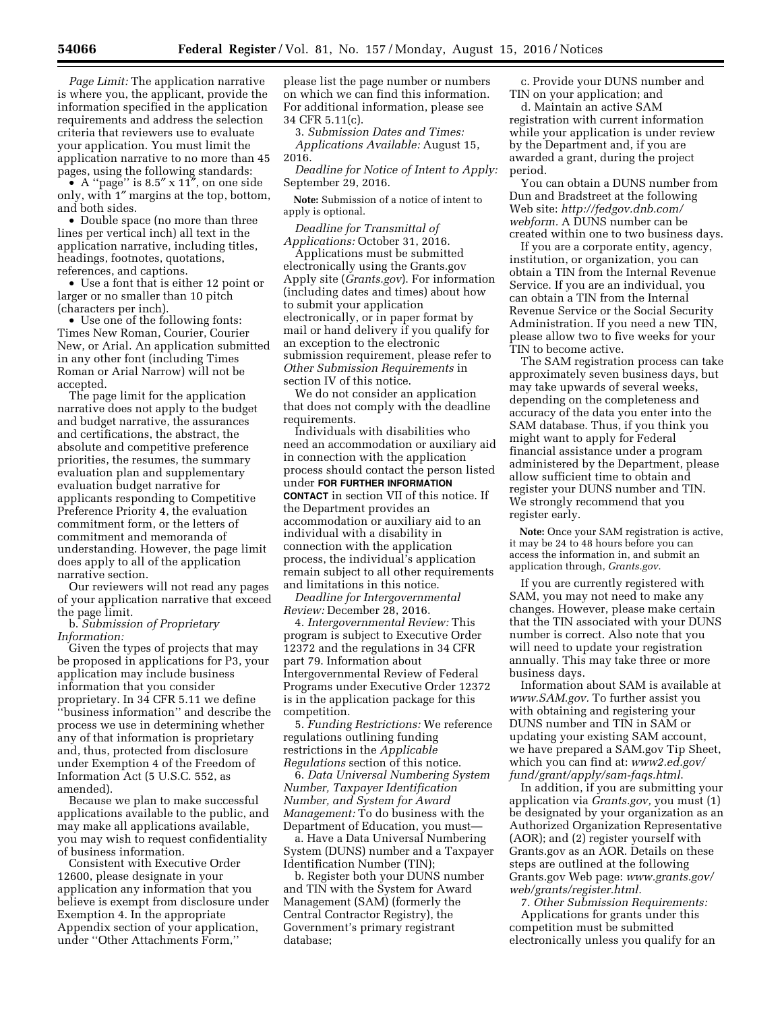*Page Limit:* The application narrative is where you, the applicant, provide the information specified in the application requirements and address the selection criteria that reviewers use to evaluate your application. You must limit the application narrative to no more than 45 pages, using the following standards:

• A "page" is  $8.5'' \times 11''$ , on one side only, with 1″ margins at the top, bottom, and both sides.

• Double space (no more than three lines per vertical inch) all text in the application narrative, including titles, headings, footnotes, quotations, references, and captions.

• Use a font that is either 12 point or larger or no smaller than 10 pitch (characters per inch).

• Use one of the following fonts: Times New Roman, Courier, Courier New, or Arial. An application submitted in any other font (including Times Roman or Arial Narrow) will not be accepted.

The page limit for the application narrative does not apply to the budget and budget narrative, the assurances and certifications, the abstract, the absolute and competitive preference priorities, the resumes, the summary evaluation plan and supplementary evaluation budget narrative for applicants responding to Competitive Preference Priority 4, the evaluation commitment form, or the letters of commitment and memoranda of understanding. However, the page limit does apply to all of the application narrative section.

Our reviewers will not read any pages of your application narrative that exceed the page limit.

b. *Submission of Proprietary Information:* 

Given the types of projects that may be proposed in applications for P3, your application may include business information that you consider proprietary. In 34 CFR 5.11 we define ''business information'' and describe the process we use in determining whether any of that information is proprietary and, thus, protected from disclosure under Exemption 4 of the Freedom of Information Act (5 U.S.C. 552, as amended).

Because we plan to make successful applications available to the public, and may make all applications available, you may wish to request confidentiality of business information.

Consistent with Executive Order 12600, please designate in your application any information that you believe is exempt from disclosure under Exemption 4. In the appropriate Appendix section of your application, under ''Other Attachments Form,''

please list the page number or numbers on which we can find this information. For additional information, please see 34 CFR 5.11(c).

3. *Submission Dates and Times: Applications Available:* August 15, 2016.

*Deadline for Notice of Intent to Apply:*  September 29, 2016.

**Note:** Submission of a notice of intent to apply is optional.

*Deadline for Transmittal of Applications:* October 31, 2016.

Applications must be submitted electronically using the Grants.gov Apply site (*Grants.gov*). For information (including dates and times) about how to submit your application electronically, or in paper format by mail or hand delivery if you qualify for an exception to the electronic submission requirement, please refer to *Other Submission Requirements* in section IV of this notice.

We do not consider an application that does not comply with the deadline requirements.

Individuals with disabilities who need an accommodation or auxiliary aid in connection with the application process should contact the person listed under **FOR FURTHER INFORMATION CONTACT** in section VII of this notice. If the Department provides an accommodation or auxiliary aid to an individual with a disability in connection with the application process, the individual's application remain subject to all other requirements and limitations in this notice.

*Deadline for Intergovernmental Review:* December 28, 2016.

4. *Intergovernmental Review:* This program is subject to Executive Order 12372 and the regulations in 34 CFR part 79. Information about Intergovernmental Review of Federal Programs under Executive Order 12372 is in the application package for this competition.

5. *Funding Restrictions:* We reference regulations outlining funding restrictions in the *Applicable Regulations* section of this notice.

6. *Data Universal Numbering System Number, Taxpayer Identification Number, and System for Award Management:* To do business with the Department of Education, you must—

a. Have a Data Universal Numbering System (DUNS) number and a Taxpayer Identification Number (TIN);

b. Register both your DUNS number and TIN with the System for Award Management (SAM) (formerly the Central Contractor Registry), the Government's primary registrant database;

c. Provide your DUNS number and TIN on your application; and

d. Maintain an active SAM registration with current information while your application is under review by the Department and, if you are awarded a grant, during the project period.

You can obtain a DUNS number from Dun and Bradstreet at the following Web site: *[http://fedgov.dnb.com/](http://fedgov.dnb.com/webform) [webform.](http://fedgov.dnb.com/webform)* A DUNS number can be created within one to two business days.

If you are a corporate entity, agency, institution, or organization, you can obtain a TIN from the Internal Revenue Service. If you are an individual, you can obtain a TIN from the Internal Revenue Service or the Social Security Administration. If you need a new TIN, please allow two to five weeks for your TIN to become active.

The SAM registration process can take approximately seven business days, but may take upwards of several weeks, depending on the completeness and accuracy of the data you enter into the SAM database. Thus, if you think you might want to apply for Federal financial assistance under a program administered by the Department, please allow sufficient time to obtain and register your DUNS number and TIN. We strongly recommend that you register early.

**Note:** Once your SAM registration is active, it may be 24 to 48 hours before you can access the information in, and submit an application through, *Grants.gov.* 

If you are currently registered with SAM, you may not need to make any changes. However, please make certain that the TIN associated with your DUNS number is correct. Also note that you will need to update your registration annually. This may take three or more business days.

Information about SAM is available at *[www.SAM.gov.](http://www.SAM.gov)* To further assist you with obtaining and registering your DUNS number and TIN in SAM or updating your existing SAM account, we have prepared a SAM.gov Tip Sheet, which you can find at: *[www2.ed.gov/](http://www2.ed.gov/fund/grant/apply/sam-faqs.html) [fund/grant/apply/sam-faqs.html](http://www2.ed.gov/fund/grant/apply/sam-faqs.html)*.

In addition, if you are submitting your application via *Grants.gov,* you must (1) be designated by your organization as an Authorized Organization Representative (AOR); and (2) register yourself with Grants.gov as an AOR. Details on these steps are outlined at the following Grants.gov Web page: *[www.grants.gov/](http://www.grants.gov/web/grants/register.html) [web/grants/register.html.](http://www.grants.gov/web/grants/register.html)* 

7. *Other Submission Requirements:*  Applications for grants under this competition must be submitted electronically unless you qualify for an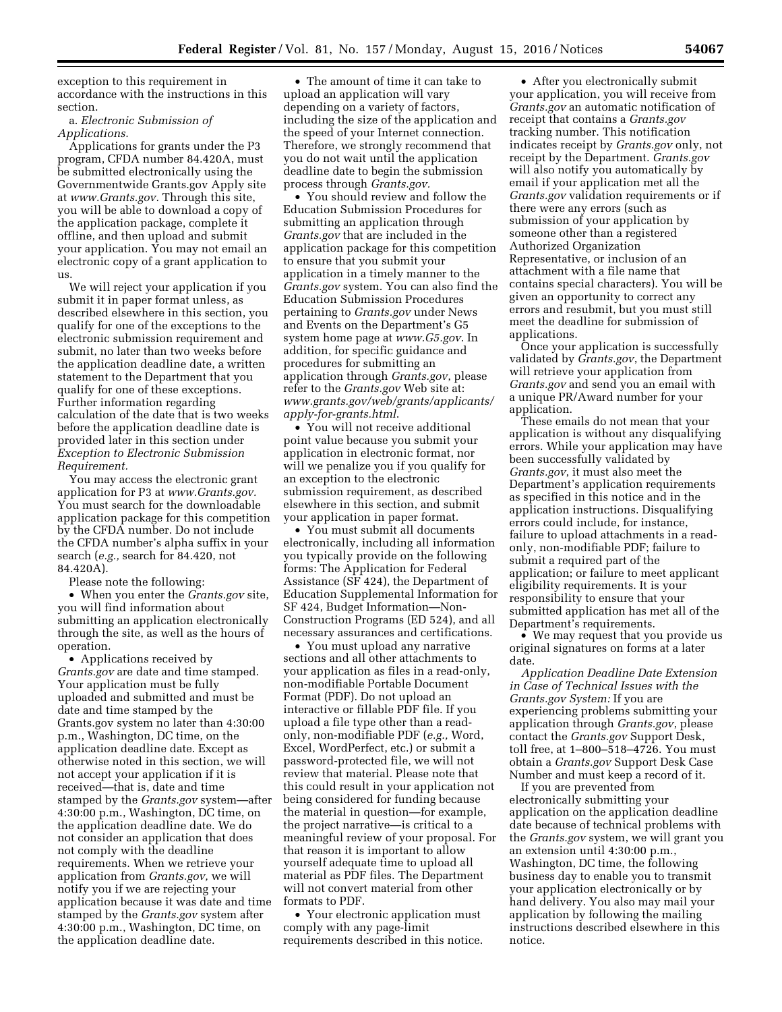exception to this requirement in accordance with the instructions in this section.

a. *Electronic Submission of Applications.* 

Applications for grants under the P3 program, CFDA number 84.420A, must be submitted electronically using the Governmentwide Grants.gov Apply site at *[www.Grants.gov.](http://www.Grants.gov)* Through this site, you will be able to download a copy of the application package, complete it offline, and then upload and submit your application. You may not email an electronic copy of a grant application to us.

We will reject your application if you submit it in paper format unless, as described elsewhere in this section, you qualify for one of the exceptions to the electronic submission requirement and submit, no later than two weeks before the application deadline date, a written statement to the Department that you qualify for one of these exceptions. Further information regarding calculation of the date that is two weeks before the application deadline date is provided later in this section under *Exception to Electronic Submission Requirement.* 

You may access the electronic grant application for P3 at *[www.Grants.gov.](http://www.Grants.gov)*  You must search for the downloadable application package for this competition by the CFDA number. Do not include the CFDA number's alpha suffix in your search (*e.g.,* search for 84.420, not 84.420A).

Please note the following:

• When you enter the *Grants.gov* site, you will find information about submitting an application electronically through the site, as well as the hours of operation.

• Applications received by *Grants.gov* are date and time stamped. Your application must be fully uploaded and submitted and must be date and time stamped by the Grants.gov system no later than 4:30:00 p.m., Washington, DC time, on the application deadline date. Except as otherwise noted in this section, we will not accept your application if it is received—that is, date and time stamped by the *Grants.gov* system—after 4:30:00 p.m., Washington, DC time, on the application deadline date. We do not consider an application that does not comply with the deadline requirements. When we retrieve your application from *Grants.gov,* we will notify you if we are rejecting your application because it was date and time stamped by the *Grants.gov* system after 4:30:00 p.m., Washington, DC time, on the application deadline date.

• The amount of time it can take to upload an application will vary depending on a variety of factors, including the size of the application and the speed of your Internet connection. Therefore, we strongly recommend that you do not wait until the application deadline date to begin the submission process through *Grants.gov.* 

• You should review and follow the Education Submission Procedures for submitting an application through *Grants.gov* that are included in the application package for this competition to ensure that you submit your application in a timely manner to the *Grants.gov* system. You can also find the Education Submission Procedures pertaining to *Grants.gov* under News and Events on the Department's G5 system home page at *[www.G5.gov](http://www.G5.gov)*. In addition, for specific guidance and procedures for submitting an application through *Grants.gov*, please refer to the *Grants.gov* Web site at: *[www.grants.gov/web/grants/applicants/](http://www.grants.gov/web/grants/applicants/apply-for-grants.html) [apply-for-grants.html](http://www.grants.gov/web/grants/applicants/apply-for-grants.html)*.

• You will not receive additional point value because you submit your application in electronic format, nor will we penalize you if you qualify for an exception to the electronic submission requirement, as described elsewhere in this section, and submit your application in paper format.

• You must submit all documents electronically, including all information you typically provide on the following forms: The Application for Federal Assistance (SF 424), the Department of Education Supplemental Information for SF 424, Budget Information—Non-Construction Programs (ED 524), and all necessary assurances and certifications.

• You must upload any narrative sections and all other attachments to your application as files in a read-only, non-modifiable Portable Document Format (PDF). Do not upload an interactive or fillable PDF file. If you upload a file type other than a readonly, non-modifiable PDF (*e.g.,* Word, Excel, WordPerfect, etc.) or submit a password-protected file, we will not review that material. Please note that this could result in your application not being considered for funding because the material in question—for example, the project narrative—is critical to a meaningful review of your proposal. For that reason it is important to allow yourself adequate time to upload all material as PDF files. The Department will not convert material from other formats to PDF.

• Your electronic application must comply with any page-limit requirements described in this notice.

• After you electronically submit your application, you will receive from *Grants.gov* an automatic notification of receipt that contains a *Grants.gov*  tracking number. This notification indicates receipt by *Grants.gov* only, not receipt by the Department. *Grants.gov*  will also notify you automatically by email if your application met all the *Grants.gov* validation requirements or if there were any errors (such as submission of your application by someone other than a registered Authorized Organization Representative, or inclusion of an attachment with a file name that contains special characters). You will be given an opportunity to correct any errors and resubmit, but you must still meet the deadline for submission of applications.

Once your application is successfully validated by *Grants.gov*, the Department will retrieve your application from *Grants.gov* and send you an email with a unique PR/Award number for your application.

These emails do not mean that your application is without any disqualifying errors. While your application may have been successfully validated by *Grants.gov*, it must also meet the Department's application requirements as specified in this notice and in the application instructions. Disqualifying errors could include, for instance, failure to upload attachments in a readonly, non-modifiable PDF; failure to submit a required part of the application; or failure to meet applicant eligibility requirements. It is your responsibility to ensure that your submitted application has met all of the Department's requirements.

• We may request that you provide us original signatures on forms at a later date.

*Application Deadline Date Extension in Case of Technical Issues with the Grants.gov System:* If you are experiencing problems submitting your application through *Grants.gov*, please contact the *Grants.gov* Support Desk, toll free, at 1–800–518–4726. You must obtain a *Grants.gov* Support Desk Case Number and must keep a record of it.

If you are prevented from electronically submitting your application on the application deadline date because of technical problems with the *Grants.gov* system, we will grant you an extension until 4:30:00 p.m., Washington, DC time, the following business day to enable you to transmit your application electronically or by hand delivery. You also may mail your application by following the mailing instructions described elsewhere in this notice.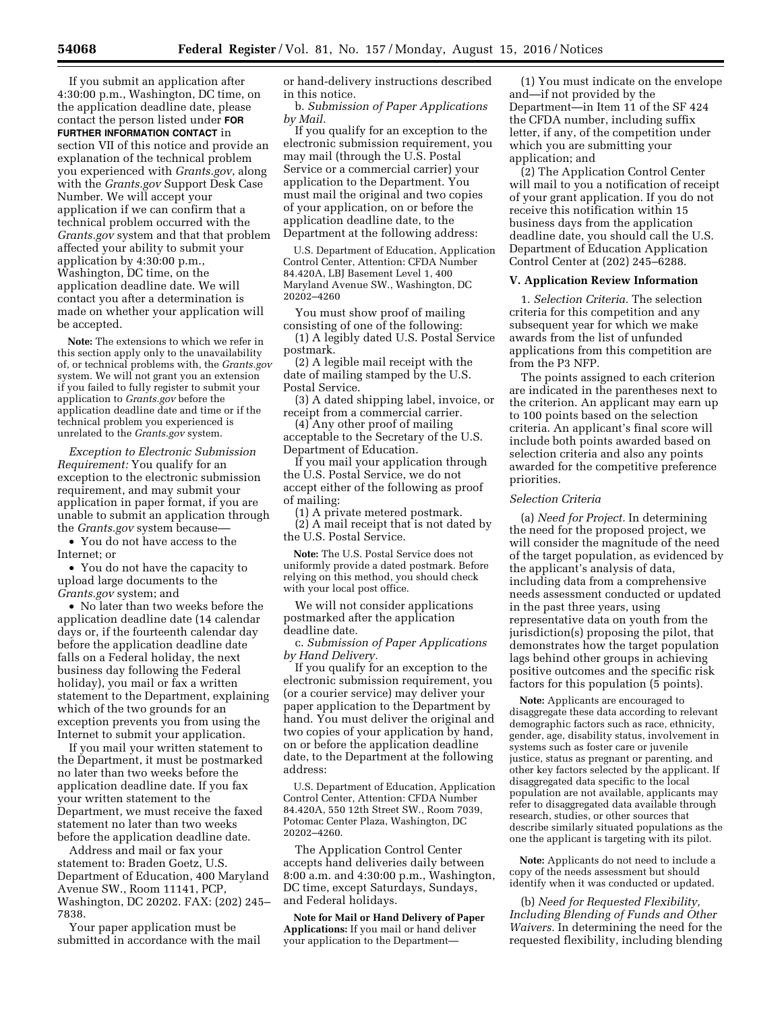If you submit an application after 4:30:00 p.m., Washington, DC time, on the application deadline date, please contact the person listed under **FOR FURTHER INFORMATION CONTACT** in section VII of this notice and provide an explanation of the technical problem you experienced with *Grants.gov*, along with the *Grants.gov* Support Desk Case Number. We will accept your application if we can confirm that a technical problem occurred with the *Grants.gov* system and that that problem affected your ability to submit your application by 4:30:00 p.m., Washington, DC time, on the application deadline date. We will contact you after a determination is made on whether your application will be accepted.

**Note:** The extensions to which we refer in this section apply only to the unavailability of, or technical problems with, the *Grants.gov*  system. We will not grant you an extension if you failed to fully register to submit your application to *Grants.gov* before the application deadline date and time or if the technical problem you experienced is unrelated to the *Grants.gov* system.

*Exception to Electronic Submission Requirement:* You qualify for an exception to the electronic submission requirement, and may submit your application in paper format, if you are unable to submit an application through the *Grants.gov* system because––

• You do not have access to the Internet; or

• You do not have the capacity to upload large documents to the *Grants.gov* system; and

• No later than two weeks before the application deadline date (14 calendar days or, if the fourteenth calendar day before the application deadline date falls on a Federal holiday, the next business day following the Federal holiday), you mail or fax a written statement to the Department, explaining which of the two grounds for an exception prevents you from using the Internet to submit your application.

If you mail your written statement to the Department, it must be postmarked no later than two weeks before the application deadline date. If you fax your written statement to the Department, we must receive the faxed statement no later than two weeks before the application deadline date.

Address and mail or fax your statement to: Braden Goetz, U.S. Department of Education, 400 Maryland Avenue SW., Room 11141, PCP, Washington, DC 20202. FAX: (202) 245– 7838.

Your paper application must be submitted in accordance with the mail or hand-delivery instructions described in this notice.

b. *Submission of Paper Applications by Mail.* 

If you qualify for an exception to the electronic submission requirement, you may mail (through the U.S. Postal Service or a commercial carrier) your application to the Department. You must mail the original and two copies of your application, on or before the application deadline date, to the Department at the following address:

U.S. Department of Education, Application Control Center, Attention: CFDA Number 84.420A, LBJ Basement Level 1, 400 Maryland Avenue SW., Washington, DC 20202–4260

You must show proof of mailing consisting of one of the following:

(1) A legibly dated U.S. Postal Service postmark.

(2) A legible mail receipt with the date of mailing stamped by the U.S. Postal Service.

(3) A dated shipping label, invoice, or receipt from a commercial carrier.

(4) Any other proof of mailing acceptable to the Secretary of the U.S. Department of Education.

If you mail your application through the U.S. Postal Service, we do not accept either of the following as proof of mailing:

(1) A private metered postmark. (2) A mail receipt that is not dated by the U.S. Postal Service.

**Note:** The U.S. Postal Service does not uniformly provide a dated postmark. Before relying on this method, you should check with your local post office.

We will not consider applications postmarked after the application deadline date.

c. *Submission of Paper Applications by Hand Delivery.* 

If you qualify for an exception to the electronic submission requirement, you (or a courier service) may deliver your paper application to the Department by hand. You must deliver the original and two copies of your application by hand, on or before the application deadline date, to the Department at the following address:

U.S. Department of Education, Application Control Center, Attention: CFDA Number 84.420A, 550 12th Street SW., Room 7039, Potomac Center Plaza, Washington, DC 20202–4260.

The Application Control Center accepts hand deliveries daily between 8:00 a.m. and 4:30:00 p.m., Washington, DC time, except Saturdays, Sundays, and Federal holidays.

**Note for Mail or Hand Delivery of Paper Applications:** If you mail or hand deliver your application to the Department—

(1) You must indicate on the envelope and—if not provided by the Department—in Item 11 of the SF 424 the CFDA number, including suffix letter, if any, of the competition under which you are submitting your application; and

(2) The Application Control Center will mail to you a notification of receipt of your grant application. If you do not receive this notification within 15 business days from the application deadline date, you should call the U.S. Department of Education Application Control Center at (202) 245–6288.

## **V. Application Review Information**

1. *Selection Criteria.* The selection criteria for this competition and any subsequent year for which we make awards from the list of unfunded applications from this competition are from the P3 NFP.

The points assigned to each criterion are indicated in the parentheses next to the criterion. An applicant may earn up to 100 points based on the selection criteria. An applicant's final score will include both points awarded based on selection criteria and also any points awarded for the competitive preference priorities.

#### *Selection Criteria*

(a) *Need for Project.* In determining the need for the proposed project, we will consider the magnitude of the need of the target population, as evidenced by the applicant's analysis of data, including data from a comprehensive needs assessment conducted or updated in the past three years, using representative data on youth from the jurisdiction(s) proposing the pilot, that demonstrates how the target population lags behind other groups in achieving positive outcomes and the specific risk factors for this population (5 points).

**Note:** Applicants are encouraged to disaggregate these data according to relevant demographic factors such as race, ethnicity, gender, age, disability status, involvement in systems such as foster care or juvenile justice, status as pregnant or parenting, and other key factors selected by the applicant. If disaggregated data specific to the local population are not available, applicants may refer to disaggregated data available through research, studies, or other sources that describe similarly situated populations as the one the applicant is targeting with its pilot.

**Note:** Applicants do not need to include a copy of the needs assessment but should identify when it was conducted or updated.

(b) *Need for Requested Flexibility, Including Blending of Funds and Other Waivers.* In determining the need for the requested flexibility, including blending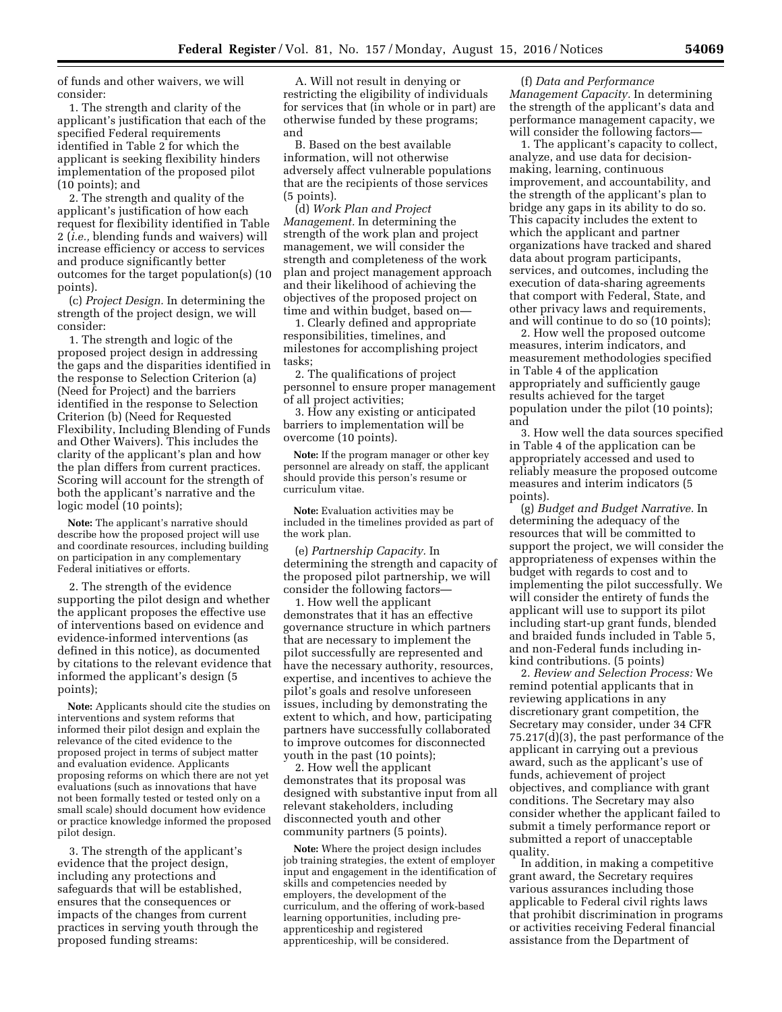of funds and other waivers, we will consider:

1. The strength and clarity of the applicant's justification that each of the specified Federal requirements identified in Table 2 for which the applicant is seeking flexibility hinders implementation of the proposed pilot (10 points); and

2. The strength and quality of the applicant's justification of how each request for flexibility identified in Table 2 (*i.e.,* blending funds and waivers) will increase efficiency or access to services and produce significantly better outcomes for the target population(s) (10 points).

(c) *Project Design.* In determining the strength of the project design, we will consider:

1. The strength and logic of the proposed project design in addressing the gaps and the disparities identified in the response to Selection Criterion (a) (Need for Project) and the barriers identified in the response to Selection Criterion (b) (Need for Requested Flexibility, Including Blending of Funds and Other Waivers). This includes the clarity of the applicant's plan and how the plan differs from current practices. Scoring will account for the strength of both the applicant's narrative and the logic model (10 points);

**Note:** The applicant's narrative should describe how the proposed project will use and coordinate resources, including building on participation in any complementary Federal initiatives or efforts.

2. The strength of the evidence supporting the pilot design and whether the applicant proposes the effective use of interventions based on evidence and evidence-informed interventions (as defined in this notice), as documented by citations to the relevant evidence that informed the applicant's design (5 points);

**Note:** Applicants should cite the studies on interventions and system reforms that informed their pilot design and explain the relevance of the cited evidence to the proposed project in terms of subject matter and evaluation evidence. Applicants proposing reforms on which there are not yet evaluations (such as innovations that have not been formally tested or tested only on a small scale) should document how evidence or practice knowledge informed the proposed pilot design.

3. The strength of the applicant's evidence that the project design, including any protections and safeguards that will be established, ensures that the consequences or impacts of the changes from current practices in serving youth through the proposed funding streams:

A. Will not result in denying or restricting the eligibility of individuals for services that (in whole or in part) are otherwise funded by these programs; and

B. Based on the best available information, will not otherwise adversely affect vulnerable populations that are the recipients of those services (5 points).

(d) *Work Plan and Project Management.* In determining the strength of the work plan and project management, we will consider the strength and completeness of the work plan and project management approach and their likelihood of achieving the objectives of the proposed project on time and within budget, based on—

1. Clearly defined and appropriate responsibilities, timelines, and milestones for accomplishing project tasks;

2. The qualifications of project personnel to ensure proper management of all project activities;

3. How any existing or anticipated barriers to implementation will be overcome (10 points).

**Note:** If the program manager or other key personnel are already on staff, the applicant should provide this person's resume or curriculum vitae.

**Note:** Evaluation activities may be included in the timelines provided as part of the work plan.

(e) *Partnership Capacity.* In determining the strength and capacity of the proposed pilot partnership, we will consider the following factors—

1. How well the applicant demonstrates that it has an effective governance structure in which partners that are necessary to implement the pilot successfully are represented and have the necessary authority, resources, expertise, and incentives to achieve the pilot's goals and resolve unforeseen issues, including by demonstrating the extent to which, and how, participating partners have successfully collaborated to improve outcomes for disconnected youth in the past (10 points);

2. How well the applicant demonstrates that its proposal was designed with substantive input from all relevant stakeholders, including disconnected youth and other community partners (5 points).

**Note:** Where the project design includes job training strategies, the extent of employer input and engagement in the identification of skills and competencies needed by employers, the development of the curriculum, and the offering of work-based learning opportunities, including preapprenticeship and registered apprenticeship, will be considered.

(f) *Data and Performance Management Capacity.* In determining the strength of the applicant's data and performance management capacity, we will consider the following factors-

1. The applicant's capacity to collect, analyze, and use data for decisionmaking, learning, continuous improvement, and accountability, and the strength of the applicant's plan to bridge any gaps in its ability to do so. This capacity includes the extent to which the applicant and partner organizations have tracked and shared data about program participants, services, and outcomes, including the execution of data-sharing agreements that comport with Federal, State, and other privacy laws and requirements, and will continue to do so (10 points);

2. How well the proposed outcome measures, interim indicators, and measurement methodologies specified in Table 4 of the application appropriately and sufficiently gauge results achieved for the target population under the pilot (10 points); and

3. How well the data sources specified in Table 4 of the application can be appropriately accessed and used to reliably measure the proposed outcome measures and interim indicators (5 points).

(g) *Budget and Budget Narrative.* In determining the adequacy of the resources that will be committed to support the project, we will consider the appropriateness of expenses within the budget with regards to cost and to implementing the pilot successfully. We will consider the entirety of funds the applicant will use to support its pilot including start-up grant funds, blended and braided funds included in Table 5, and non-Federal funds including inkind contributions. (5 points)

2. *Review and Selection Process:* We remind potential applicants that in reviewing applications in any discretionary grant competition, the Secretary may consider, under 34 CFR 75.217(d)(3), the past performance of the applicant in carrying out a previous award, such as the applicant's use of funds, achievement of project objectives, and compliance with grant conditions. The Secretary may also consider whether the applicant failed to submit a timely performance report or submitted a report of unacceptable quality.

In addition, in making a competitive grant award, the Secretary requires various assurances including those applicable to Federal civil rights laws that prohibit discrimination in programs or activities receiving Federal financial assistance from the Department of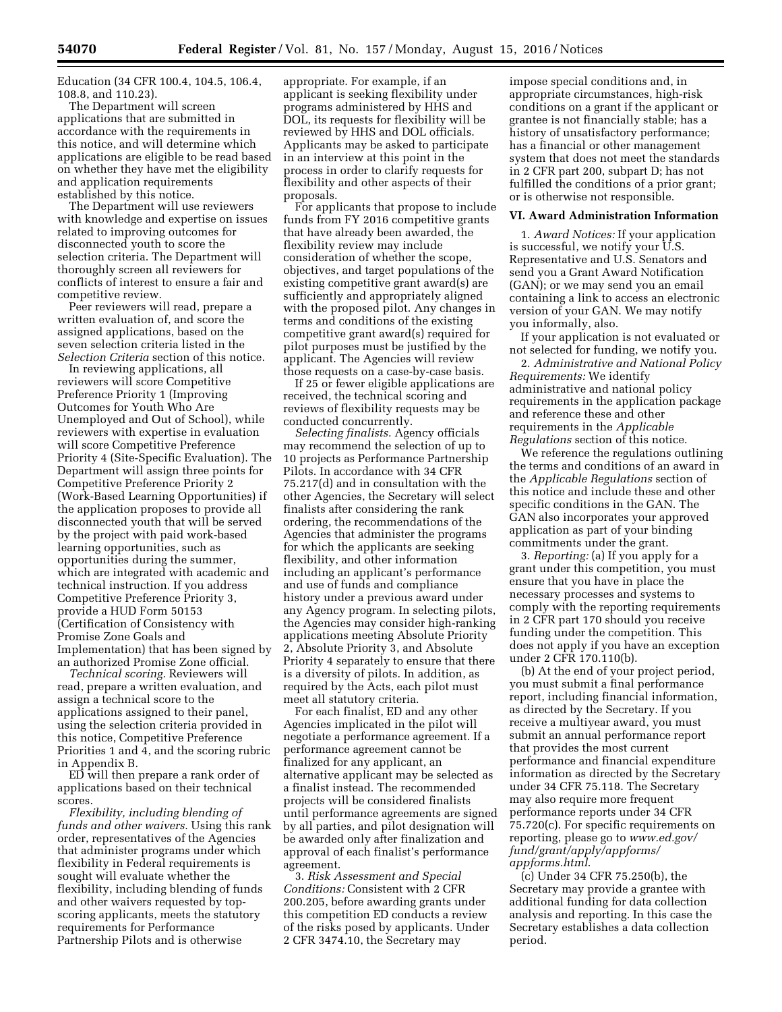Education (34 CFR 100.4, 104.5, 106.4, 108.8, and 110.23).

The Department will screen applications that are submitted in accordance with the requirements in this notice, and will determine which applications are eligible to be read based on whether they have met the eligibility and application requirements established by this notice.

The Department will use reviewers with knowledge and expertise on issues related to improving outcomes for disconnected youth to score the selection criteria. The Department will thoroughly screen all reviewers for conflicts of interest to ensure a fair and competitive review.

Peer reviewers will read, prepare a written evaluation of, and score the assigned applications, based on the seven selection criteria listed in the *Selection Criteria* section of this notice.

In reviewing applications, all reviewers will score Competitive Preference Priority 1 (Improving Outcomes for Youth Who Are Unemployed and Out of School), while reviewers with expertise in evaluation will score Competitive Preference Priority 4 (Site-Specific Evaluation). The Department will assign three points for Competitive Preference Priority 2 (Work-Based Learning Opportunities) if the application proposes to provide all disconnected youth that will be served by the project with paid work-based learning opportunities, such as opportunities during the summer, which are integrated with academic and technical instruction. If you address Competitive Preference Priority 3, provide a HUD Form 50153 (Certification of Consistency with Promise Zone Goals and Implementation) that has been signed by an authorized Promise Zone official.

*Technical scoring.* Reviewers will read, prepare a written evaluation, and assign a technical score to the applications assigned to their panel, using the selection criteria provided in this notice, Competitive Preference Priorities 1 and 4, and the scoring rubric in Appendix B.

ED will then prepare a rank order of applications based on their technical scores.

*Flexibility, including blending of funds and other waivers.* Using this rank order, representatives of the Agencies that administer programs under which flexibility in Federal requirements is sought will evaluate whether the flexibility, including blending of funds and other waivers requested by topscoring applicants, meets the statutory requirements for Performance Partnership Pilots and is otherwise

appropriate. For example, if an applicant is seeking flexibility under programs administered by HHS and DOL, its requests for flexibility will be reviewed by HHS and DOL officials. Applicants may be asked to participate in an interview at this point in the process in order to clarify requests for flexibility and other aspects of their proposals.

For applicants that propose to include funds from FY 2016 competitive grants that have already been awarded, the flexibility review may include consideration of whether the scope, objectives, and target populations of the existing competitive grant award(s) are sufficiently and appropriately aligned with the proposed pilot. Any changes in terms and conditions of the existing competitive grant award(s) required for pilot purposes must be justified by the applicant. The Agencies will review those requests on a case-by-case basis.

If 25 or fewer eligible applications are received, the technical scoring and reviews of flexibility requests may be conducted concurrently.

*Selecting finalists.* Agency officials may recommend the selection of up to 10 projects as Performance Partnership Pilots. In accordance with 34 CFR 75.217(d) and in consultation with the other Agencies, the Secretary will select finalists after considering the rank ordering, the recommendations of the Agencies that administer the programs for which the applicants are seeking flexibility, and other information including an applicant's performance and use of funds and compliance history under a previous award under any Agency program. In selecting pilots, the Agencies may consider high-ranking applications meeting Absolute Priority 2, Absolute Priority 3, and Absolute Priority 4 separately to ensure that there is a diversity of pilots. In addition, as required by the Acts, each pilot must meet all statutory criteria.

For each finalist, ED and any other Agencies implicated in the pilot will negotiate a performance agreement. If a performance agreement cannot be finalized for any applicant, an alternative applicant may be selected as a finalist instead. The recommended projects will be considered finalists until performance agreements are signed by all parties, and pilot designation will be awarded only after finalization and approval of each finalist's performance agreement.

3. *Risk Assessment and Special Conditions:* Consistent with 2 CFR 200.205, before awarding grants under this competition ED conducts a review of the risks posed by applicants. Under 2 CFR 3474.10, the Secretary may

impose special conditions and, in appropriate circumstances, high-risk conditions on a grant if the applicant or grantee is not financially stable; has a history of unsatisfactory performance; has a financial or other management system that does not meet the standards in 2 CFR part 200, subpart D; has not fulfilled the conditions of a prior grant; or is otherwise not responsible.

#### **VI. Award Administration Information**

1. *Award Notices:* If your application is successful, we notify your U.S. Representative and U.S. Senators and send you a Grant Award Notification (GAN); or we may send you an email containing a link to access an electronic version of your GAN. We may notify you informally, also.

If your application is not evaluated or not selected for funding, we notify you.

2. *Administrative and National Policy Requirements:* We identify administrative and national policy requirements in the application package and reference these and other requirements in the *Applicable Regulations* section of this notice.

We reference the regulations outlining the terms and conditions of an award in the *Applicable Regulations* section of this notice and include these and other specific conditions in the GAN. The GAN also incorporates your approved application as part of your binding commitments under the grant.

3. *Reporting:* (a) If you apply for a grant under this competition, you must ensure that you have in place the necessary processes and systems to comply with the reporting requirements in 2 CFR part 170 should you receive funding under the competition. This does not apply if you have an exception under 2 CFR 170.110(b).

(b) At the end of your project period, you must submit a final performance report, including financial information, as directed by the Secretary. If you receive a multiyear award, you must submit an annual performance report that provides the most current performance and financial expenditure information as directed by the Secretary under 34 CFR 75.118. The Secretary may also require more frequent performance reports under 34 CFR 75.720(c). For specific requirements on reporting, please go to *[www.ed.gov/](http://www.ed.gov/fund/grant/apply/appforms/appforms.html) [fund/grant/apply/appforms/](http://www.ed.gov/fund/grant/apply/appforms/appforms.html) [appforms.html](http://www.ed.gov/fund/grant/apply/appforms/appforms.html)*.

(c) Under 34 CFR 75.250(b), the Secretary may provide a grantee with additional funding for data collection analysis and reporting. In this case the Secretary establishes a data collection period.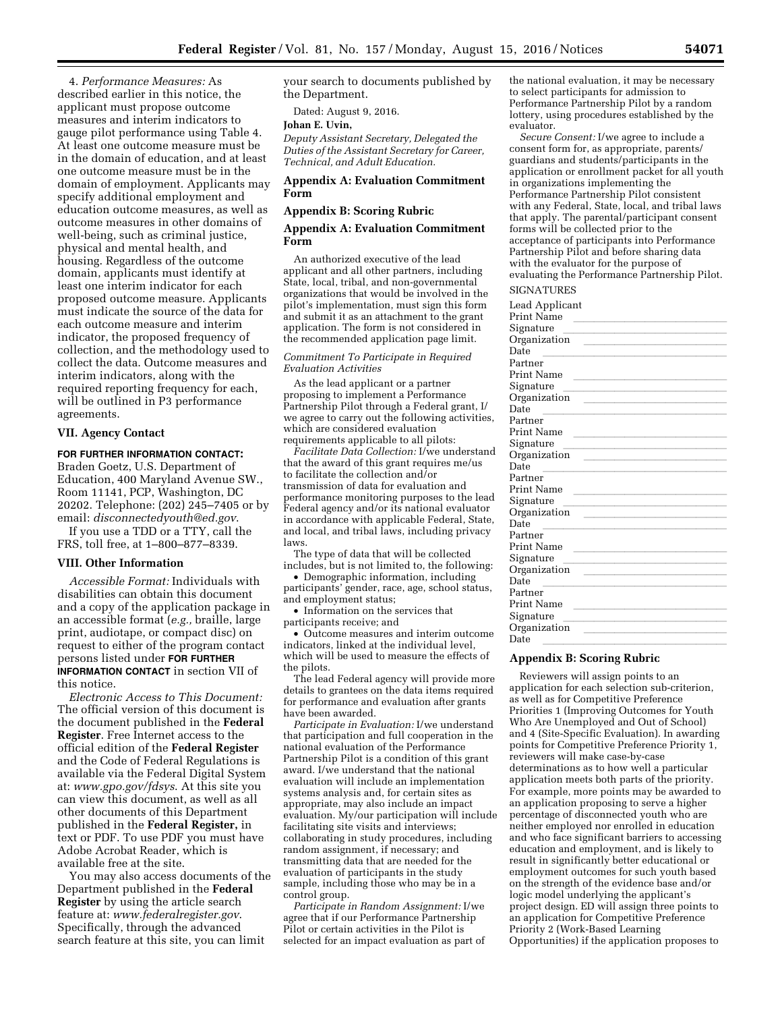4. *Performance Measures:* As described earlier in this notice, the applicant must propose outcome measures and interim indicators to gauge pilot performance using Table 4. At least one outcome measure must be in the domain of education, and at least one outcome measure must be in the domain of employment. Applicants may specify additional employment and education outcome measures, as well as outcome measures in other domains of well-being, such as criminal justice, physical and mental health, and housing. Regardless of the outcome domain, applicants must identify at least one interim indicator for each proposed outcome measure. Applicants must indicate the source of the data for each outcome measure and interim indicator, the proposed frequency of collection, and the methodology used to collect the data. Outcome measures and interim indicators, along with the required reporting frequency for each, will be outlined in P3 performance agreements.

## **VII. Agency Contact**

#### **FOR FURTHER INFORMATION CONTACT:**

Braden Goetz, U.S. Department of Education, 400 Maryland Avenue SW., Room 11141, PCP, Washington, DC 20202. Telephone: (202) 245–7405 or by email: *[disconnectedyouth@ed.gov](mailto:disconnectedyouth@ed.gov)*.

If you use a TDD or a TTY, call the FRS, toll free, at 1–800–877–8339.

#### **VIII. Other Information**

*Accessible Format:* Individuals with disabilities can obtain this document and a copy of the application package in an accessible format (*e.g.,* braille, large print, audiotape, or compact disc) on request to either of the program contact persons listed under **FOR FURTHER INFORMATION CONTACT** in section VII of this notice.

*Electronic Access to This Document:*  The official version of this document is the document published in the **Federal Register**. Free Internet access to the official edition of the **Federal Register**  and the Code of Federal Regulations is available via the Federal Digital System at: *[www.gpo.gov/fdsys](http://www.gpo.gov/fdsys)*. At this site you can view this document, as well as all other documents of this Department published in the **Federal Register,** in text or PDF. To use PDF you must have Adobe Acrobat Reader, which is available free at the site.

You may also access documents of the Department published in the **Federal Register** by using the article search feature at: *[www.federalregister.gov](http://www.federalregister.gov)*. Specifically, through the advanced search feature at this site, you can limit

your search to documents published by the Department.

Dated: August 9, 2016.

# **Johan E. Uvin,**

*Deputy Assistant Secretary, Delegated the Duties of the Assistant Secretary for Career, Technical, and Adult Education.* 

## **Appendix A: Evaluation Commitment Form**

#### **Appendix B: Scoring Rubric**

#### **Appendix A: Evaluation Commitment Form**

An authorized executive of the lead applicant and all other partners, including State, local, tribal, and non-governmental organizations that would be involved in the pilot's implementation, must sign this form and submit it as an attachment to the grant application. The form is not considered in the recommended application page limit.

#### *Commitment To Participate in Required Evaluation Activities*

As the lead applicant or a partner proposing to implement a Performance Partnership Pilot through a Federal grant, I/ we agree to carry out the following activities, which are considered evaluation requirements applicable to all pilots:

*Facilitate Data Collection:* I/we understand that the award of this grant requires me/us to facilitate the collection and/or transmission of data for evaluation and performance monitoring purposes to the lead Federal agency and/or its national evaluator in accordance with applicable Federal, State, and local, and tribal laws, including privacy laws.

The type of data that will be collected includes, but is not limited to, the following:

• Demographic information, including participants' gender, race, age, school status,

and employment status; • Information on the services that participants receive; and

• Outcome measures and interim outcome

indicators, linked at the individual level, which will be used to measure the effects of the pilots.

The lead Federal agency will provide more details to grantees on the data items required for performance and evaluation after grants have been awarded.

*Participate in Evaluation:* I/we understand that participation and full cooperation in the national evaluation of the Performance Partnership Pilot is a condition of this grant award. I/we understand that the national evaluation will include an implementation systems analysis and, for certain sites as appropriate, may also include an impact evaluation. My/our participation will include facilitating site visits and interviews; collaborating in study procedures, including random assignment, if necessary; and transmitting data that are needed for the evaluation of participants in the study sample, including those who may be in a control group.

*Participate in Random Assignment:* I/we agree that if our Performance Partnership Pilot or certain activities in the Pilot is selected for an impact evaluation as part of

the national evaluation, it may be necessary to select participants for admission to Performance Partnership Pilot by a random lottery, using procedures established by the evaluator.

*Secure Consent:* I/we agree to include a consent form for, as appropriate, parents/ guardians and students/participants in the application or enrollment packet for all youth in organizations implementing the Performance Partnership Pilot consistent with any Federal, State, local, and tribal laws that apply. The parental/participant consent forms will be collected prior to the acceptance of participants into Performance Partnership Pilot and before sharing data with the evaluator for the purpose of evaluating the Performance Partnership Pilot.

SIGNATURES Lead Applicant Application

| Lead Applicant                                                                                                                                                                                                                                                                                                                                                                                                                                                                                                |
|---------------------------------------------------------------------------------------------------------------------------------------------------------------------------------------------------------------------------------------------------------------------------------------------------------------------------------------------------------------------------------------------------------------------------------------------------------------------------------------------------------------|
| Print Name                                                                                                                                                                                                                                                                                                                                                                                                                                                                                                    |
| Signature<br>$\begin{tabular}{ll} \multicolumn{2}{c} {\textbf{1}} & \multicolumn{2}{c} {\textbf{1}} & \multicolumn{2}{c} {\textbf{1}} \\ \multicolumn{2}{c} {\textbf{2}} & \multicolumn{2}{c} {\textbf{3}} & \multicolumn{2}{c} {\textbf{4}} \\ \multicolumn{2}{c} {\textbf{4}} & \multicolumn{2}{c} {\textbf{5}} & \multicolumn{2}{c} {\textbf{6}} \\ \multicolumn{2}{c} {\textbf{5}} & \multicolumn{2}{c} {\textbf{6}} & \multicolumn{2}{c} {\textbf{6}} \\ \multicolumn{2}{c} {\textbf{6}} & \multicolumn$ |
| Organization                                                                                                                                                                                                                                                                                                                                                                                                                                                                                                  |
| Date<br><u> Alexandria de la conte</u>                                                                                                                                                                                                                                                                                                                                                                                                                                                                        |
| Partner                                                                                                                                                                                                                                                                                                                                                                                                                                                                                                       |
| Print Name                                                                                                                                                                                                                                                                                                                                                                                                                                                                                                    |
| Signature<br>$\begin{tabular}{lllllllllll} \multicolumn{3}{l}{{\color{blue}{\bf{m}}}} & \multicolumn{3}{l}{\color{blue}{\bf{m}}}\\ \multicolumn{3}{l}{\color{blue}{\bf{m}}}\hspace{0.08cm} & \multicolumn{3}{l}{\color{blue}{\bf{m}}}\hspace{0.08cm} & \multicolumn{3}{l}{\color{blue}{\bf{m}}}\hspace{0.08cm} & \multicolumn{3}{l}{\color{blue}{\bf{m}}}\hspace{0.08cm} & \multicolumn{3}{l}{\color{blue}{\bf{m}}}\hspace{0.08cm} & \multicolumn{3}{l}{\color{blue}{\$                                       |
| Organization                                                                                                                                                                                                                                                                                                                                                                                                                                                                                                  |
| Date<br><u> 1980 - Johann Stoff, deutscher Stoffen und der Stoffen und der Stoffen und der Stoffen und der Stoffen und der Stoffen und der Stoffen und der Stoffen und der Stoffen und der Stoffen und der Stoffen und der Stoffen und d</u>                                                                                                                                                                                                                                                                  |
| Partner                                                                                                                                                                                                                                                                                                                                                                                                                                                                                                       |
| Print Name<br><u> 1980 - Johann Storm, fransk politik (</u>                                                                                                                                                                                                                                                                                                                                                                                                                                                   |
| Signature                                                                                                                                                                                                                                                                                                                                                                                                                                                                                                     |
| Organization                                                                                                                                                                                                                                                                                                                                                                                                                                                                                                  |
| Date                                                                                                                                                                                                                                                                                                                                                                                                                                                                                                          |
| Partner                                                                                                                                                                                                                                                                                                                                                                                                                                                                                                       |
| Print Name                                                                                                                                                                                                                                                                                                                                                                                                                                                                                                    |
| Signature                                                                                                                                                                                                                                                                                                                                                                                                                                                                                                     |
| Organization                                                                                                                                                                                                                                                                                                                                                                                                                                                                                                  |
| Date                                                                                                                                                                                                                                                                                                                                                                                                                                                                                                          |
| Partner                                                                                                                                                                                                                                                                                                                                                                                                                                                                                                       |
| Print Name<br><u> 1980 - Antonio Alemania, prima prestava pre</u>                                                                                                                                                                                                                                                                                                                                                                                                                                             |
| Signature                                                                                                                                                                                                                                                                                                                                                                                                                                                                                                     |
| Organization                                                                                                                                                                                                                                                                                                                                                                                                                                                                                                  |
| Date                                                                                                                                                                                                                                                                                                                                                                                                                                                                                                          |
| Partner                                                                                                                                                                                                                                                                                                                                                                                                                                                                                                       |
| Print Name<br>$\frac{1}{2}$ . The contract of the contract of the contract of the contract of the contract of the contract of the contract of the contract of the contract of the contract of the contract of the contract of the contract of t                                                                                                                                                                                                                                                               |
| Signature<br><u> 1989 - Jan Alexandri, fizikar matematika (h. 1989)</u>                                                                                                                                                                                                                                                                                                                                                                                                                                       |
| Organization                                                                                                                                                                                                                                                                                                                                                                                                                                                                                                  |
| Date<br>the control of the control of the control of                                                                                                                                                                                                                                                                                                                                                                                                                                                          |
|                                                                                                                                                                                                                                                                                                                                                                                                                                                                                                               |

#### **Appendix B: Scoring Rubric**

Reviewers will assign points to an application for each selection sub-criterion, as well as for Competitive Preference Priorities 1 (Improving Outcomes for Youth Who Are Unemployed and Out of School) and 4 (Site-Specific Evaluation). In awarding points for Competitive Preference Priority 1, reviewers will make case-by-case determinations as to how well a particular application meets both parts of the priority. For example, more points may be awarded to an application proposing to serve a higher percentage of disconnected youth who are neither employed nor enrolled in education and who face significant barriers to accessing education and employment, and is likely to result in significantly better educational or employment outcomes for such youth based on the strength of the evidence base and/or logic model underlying the applicant's project design. ED will assign three points to an application for Competitive Preference Priority 2 (Work-Based Learning Opportunities) if the application proposes to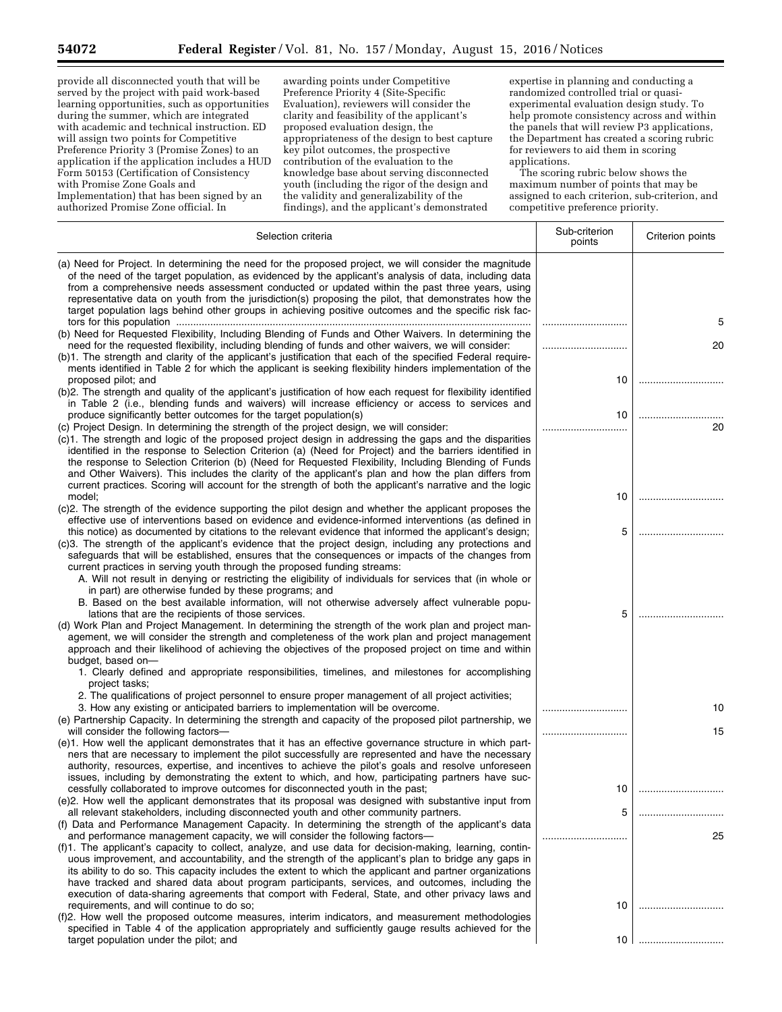provide all disconnected youth that will be served by the project with paid work-based learning opportunities, such as opportunities during the summer, which are integrated with academic and technical instruction. ED will assign two points for Competitive Preference Priority 3 (Promise Zones) to an application if the application includes a HUD Form 50153 (Certification of Consistency with Promise Zone Goals and Implementation) that has been signed by an authorized Promise Zone official. In

awarding points under Competitive Preference Priority 4 (Site-Specific Evaluation), reviewers will consider the clarity and feasibility of the applicant's proposed evaluation design, the appropriateness of the design to best capture key pilot outcomes, the prospective contribution of the evaluation to the knowledge base about serving disconnected youth (including the rigor of the design and the validity and generalizability of the findings), and the applicant's demonstrated

expertise in planning and conducting a randomized controlled trial or quasiexperimental evaluation design study. To help promote consistency across and within the panels that will review P3 applications, the Department has created a scoring rubric for reviewers to aid them in scoring applications.

The scoring rubric below shows the maximum number of points that may be assigned to each criterion, sub-criterion, and competitive preference priority.

| Selection criteria                                                                                                                                                                                                                                                                                                                                                                                                                                                                                                                                                                                                                                                                                                                                                                          | Sub-criterion<br>points | Criterion points |
|---------------------------------------------------------------------------------------------------------------------------------------------------------------------------------------------------------------------------------------------------------------------------------------------------------------------------------------------------------------------------------------------------------------------------------------------------------------------------------------------------------------------------------------------------------------------------------------------------------------------------------------------------------------------------------------------------------------------------------------------------------------------------------------------|-------------------------|------------------|
| (a) Need for Project. In determining the need for the proposed project, we will consider the magnitude<br>of the need of the target population, as evidenced by the applicant's analysis of data, including data<br>from a comprehensive needs assessment conducted or updated within the past three years, using<br>representative data on youth from the jurisdiction(s) proposing the pilot, that demonstrates how the<br>target population lags behind other groups in achieving positive outcomes and the specific risk fac-                                                                                                                                                                                                                                                           |                         | 5                |
| (b) Need for Requested Flexibility, Including Blending of Funds and Other Waivers. In determining the<br>need for the requested flexibility, including blending of funds and other waivers, we will consider:                                                                                                                                                                                                                                                                                                                                                                                                                                                                                                                                                                               |                         | 20               |
| (b)1. The strength and clarity of the applicant's justification that each of the specified Federal require-<br>ments identified in Table 2 for which the applicant is seeking flexibility hinders implementation of the<br>proposed pilot; and                                                                                                                                                                                                                                                                                                                                                                                                                                                                                                                                              | 10                      |                  |
| (b) 2. The strength and quality of the applicant's justification of how each request for flexibility identified<br>in Table 2 (i.e., blending funds and waivers) will increase efficiency or access to services and<br>produce significantly better outcomes for the target population(s)                                                                                                                                                                                                                                                                                                                                                                                                                                                                                                   | 10                      |                  |
| (c) Project Design. In determining the strength of the project design, we will consider:<br>(c) 1. The strength and logic of the proposed project design in addressing the gaps and the disparities<br>identified in the response to Selection Criterion (a) (Need for Project) and the barriers identified in<br>the response to Selection Criterion (b) (Need for Requested Flexibility, Including Blending of Funds<br>and Other Waivers). This includes the clarity of the applicant's plan and how the plan differs from<br>current practices. Scoring will account for the strength of both the applicant's narrative and the logic                                                                                                                                                   |                         | 20               |
| model;<br>(c)2. The strength of the evidence supporting the pilot design and whether the applicant proposes the<br>effective use of interventions based on evidence and evidence-informed interventions (as defined in                                                                                                                                                                                                                                                                                                                                                                                                                                                                                                                                                                      | 10                      |                  |
| this notice) as documented by citations to the relevant evidence that informed the applicant's design;<br>(c) 3. The strength of the applicant's evidence that the project design, including any protections and<br>safeguards that will be established, ensures that the consequences or impacts of the changes from<br>current practices in serving youth through the proposed funding streams:<br>A. Will not result in denying or restricting the eligibility of individuals for services that (in whole or<br>in part) are otherwise funded by these programs; and<br>B. Based on the best available information, will not otherwise adversely affect vulnerable popu-                                                                                                                 | 5                       |                  |
| lations that are the recipients of those services.<br>(d) Work Plan and Project Management. In determining the strength of the work plan and project man-<br>agement, we will consider the strength and completeness of the work plan and project management<br>approach and their likelihood of achieving the objectives of the proposed project on time and within<br>budget, based on-<br>1. Clearly defined and appropriate responsibilities, timelines, and milestones for accomplishing                                                                                                                                                                                                                                                                                               | 5                       |                  |
| project tasks;<br>2. The qualifications of project personnel to ensure proper management of all project activities;<br>3. How any existing or anticipated barriers to implementation will be overcome.                                                                                                                                                                                                                                                                                                                                                                                                                                                                                                                                                                                      |                         | 10               |
| (e) Partnership Capacity. In determining the strength and capacity of the proposed pilot partnership, we<br>will consider the following factors-                                                                                                                                                                                                                                                                                                                                                                                                                                                                                                                                                                                                                                            |                         | 15               |
| (e)1. How well the applicant demonstrates that it has an effective governance structure in which part-<br>ners that are necessary to implement the pilot successfully are represented and have the necessary<br>authority, resources, expertise, and incentives to achieve the pilot's goals and resolve unforeseen<br>issues, including by demonstrating the extent to which, and how, participating partners have suc-                                                                                                                                                                                                                                                                                                                                                                    |                         |                  |
| cessfully collaborated to improve outcomes for disconnected youth in the past;<br>(e)2. How well the applicant demonstrates that its proposal was designed with substantive input from                                                                                                                                                                                                                                                                                                                                                                                                                                                                                                                                                                                                      | 10                      |                  |
| all relevant stakeholders, including disconnected youth and other community partners.<br>(f) Data and Performance Management Capacity. In determining the strength of the applicant's data<br>and performance management capacity, we will consider the following factors-                                                                                                                                                                                                                                                                                                                                                                                                                                                                                                                  | 5                       | 25               |
| (f)1. The applicant's capacity to collect, analyze, and use data for decision-making, learning, contin-<br>uous improvement, and accountability, and the strength of the applicant's plan to bridge any gaps in<br>its ability to do so. This capacity includes the extent to which the applicant and partner organizations<br>have tracked and shared data about program participants, services, and outcomes, including the<br>execution of data-sharing agreements that comport with Federal, State, and other privacy laws and<br>requirements, and will continue to do so;<br>(f)2. How well the proposed outcome measures, interim indicators, and measurement methodologies<br>specified in Table 4 of the application appropriately and sufficiently gauge results achieved for the | 10                      |                  |

target population under the pilot; and 10 ..............................